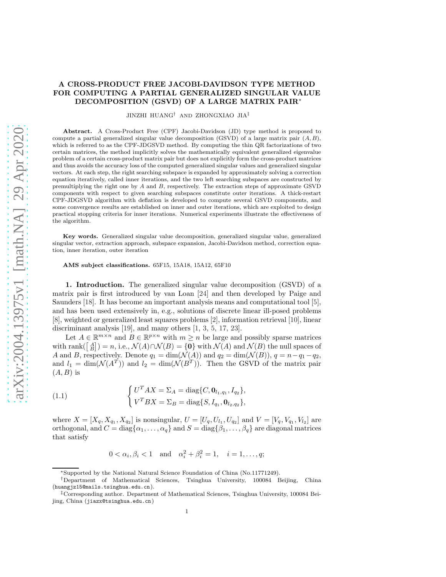## A CROSS-PRODUCT FREE JACOBI-DAVIDSON TYPE METHOD FOR COMPUTING A PARTIAL GENERALIZED SINGULAR VALUE DECOMPOSITION (GSVD) OF A LARGE MATRIX PAIR∗

JINZHI HUANG† AND ZHONGXIAO JIA‡

Abstract. A Cross-Product Free (CPF) Jacobi-Davidson (JD) type method is proposed to compute a partial generalized singular value decomposition (GSVD) of a large matrix pair  $(A, B)$ , which is referred to as the CPF-JDGSVD method. By computing the thin QR factorizations of two certain matrices, the method implicitly solves the mathematically equivalent generalized eigenvalue problem of a certain cross-product matrix pair but does not explicitly form the cross-product matrices and thus avoids the accuracy loss of the computed generalized singular values and generalized singular vectors. At each step, the right searching subspace is expanded by approximately solving a correction equation iteratively, called inner iterations, and the two left searching subspaces are constructed by premultiplying the right one by  $A$  and  $B$ , respectively. The extraction steps of approximate GSVD components with respect to given searching subspaces constitute outer iterations. A thick-restart CPF-JDGSVD algorithm with deflation is developed to compute several GSVD components, and some convergence results are established on inner and outer iterations, which are exploited to design practical stopping criteria for inner iterations. Numerical experiments illustrate the effectiveness of the algorithm.

Key words. Generalized singular value decomposition, generalized singular value, generalized singular vector, extraction approach, subspace expansion, Jacobi-Davidson method, correction equation, inner iteration, outer iteration

AMS subject classifications. 65F15, 15A18, 15A12, 65F10

1. Introduction. The generalized singular value decomposition (GSVD) of a matrix pair is first introduced by van Loan [\[24\]](#page-24-0) and then developed by Paige and Saunders [\[18\]](#page-24-1). It has become an important analysis means and computational tool [\[5\]](#page-24-2), and has been used extensively in, e.g., solutions of discrete linear ill-posed problems [\[8\]](#page-24-3), weighted or generalized least squares problems [\[2\]](#page-24-4), information retrieval [\[10\]](#page-24-5), linear discriminant analysis [\[19\]](#page-24-6), and many others [\[1,](#page-24-7) [3,](#page-24-8) [5,](#page-24-2) [17,](#page-24-9) [23\]](#page-24-10).

Let  $A \in \mathbb{R}^{m \times n}$  and  $B \in \mathbb{R}^{p \times n}$  with  $m \geq n$  be large and possibly sparse matrices with rank( $\begin{bmatrix} A \\ B \end{bmatrix}$ ) = n, i.e.,  $\mathcal{N}(A) \cap \mathcal{N}(B) = \{0\}$  with  $\mathcal{N}(A)$  and  $\mathcal{N}(B)$  the null spaces of A and B, respectively. Denote  $q_1 = \dim(\mathcal{N}(A))$  and  $q_2 = \dim(\mathcal{N}(B))$ ,  $q = n - q_1 - q_2$ , and  $l_1 = \dim(\mathcal{N}(A^T))$  and  $l_2 = \dim(\mathcal{N}(B^T))$ . Then the GSVD of the matrix pair  $(A, B)$  is

<span id="page-0-0"></span>(1.1) 
$$
\begin{cases} U^T A X = \Sigma_A = \text{diag}\{C, \mathbf{0}_{l_1, q_1}, I_{q_2}\}, \\ V^T B X = \Sigma_B = \text{diag}\{S, I_{q_1}, \mathbf{0}_{l_2, q_2}\}, \end{cases}
$$

where  $X = [X_q, X_{q_1}, X_{q_2}]$  is nonsingular,  $U = [U_q, U_{l_1}, U_{q_2}]$  and  $V = [V_q, V_{q_1}, V_{l_2}]$  are orthogonal, and  $C = \text{diag}\{\alpha_1, \ldots, \alpha_q\}$  and  $S = \text{diag}\{\beta_1, \ldots, \beta_q\}$  are diagonal matrices that satisfy

$$
0 < \alpha_i, \beta_i < 1
$$
 and  $\alpha_i^2 + \beta_i^2 = 1$ ,  $i = 1, ..., q$ ;

<sup>∗</sup>Supported by the National Natural Science Foundation of China (No.11771249).

<sup>†</sup>Department of Mathematical Sciences, Tsinghua University, 100084 Beijing, China (<huangjz15@mails.tsinghua.edu.cn>).

<sup>‡</sup>Corresponding author. Department of Mathematical Sciences, Tsinghua University, 100084 Beijing, China (<jiazx@tsinghua.edu.cn>)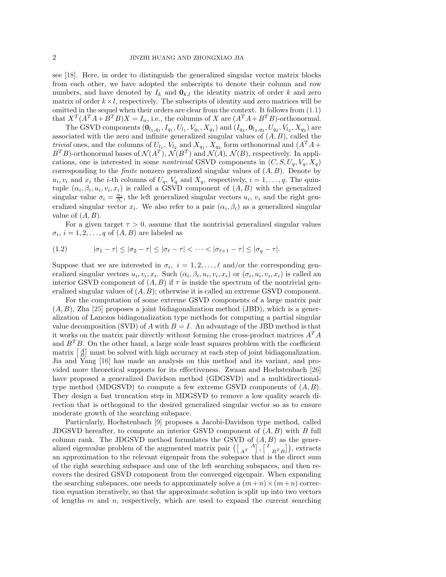see [\[18\]](#page-24-1). Here, in order to distinguish the generalized singular vector matrix blocks from each other, we have adopted the subscripts to denote their column and row numbers, and have denoted by  $I_k$  and  $\mathbf{0}_{k,l}$  the identity matrix of order k and zero matrix of order  $k \times l$ , respectively. The subscripts of identity and zero matrices will be omitted in the sequel when their orders are clear from the context. It follows from [\(1.1\)](#page-0-0) that  $X^T(A^T A + B^T B)X = I_n$ , i.e., the columns of X are  $(A^T A + B^T B)$ -orthonormal.

The GSVD components  $(0_{l_1,q_1}, I_{q_1}, U_{l_1}, V_{q_1}, X_{q_1})$  and  $(I_{q_2}, 0_{l_2,q_2}, U_{q_2}, V_{l_2}, X_{q_2})$  are associated with the zero and infinite generalized singular values of  $(A, B)$ , called the *trivial* ones, and the columns of  $U_{l_1}$ ,  $V_{l_2}$  and  $X_{q_1}$ ,  $X_{q_2}$  form orthonormal and  $(A^T A +$  $B<sup>T</sup>B$ )-orthonormal bases of  $\mathcal{N}(A<sup>T</sup>)$ ,  $\mathcal{N}(B<sup>T</sup>)$  and  $\mathcal{N}(A)$ ,  $\mathcal{N}(B)$ , respectively. In applications, one is interested in some *nontrivial* GSVD components in  $(C, S, U_q, V_q, X_q)$ corresponding to the *finite* nonzero generalized singular values of (A, B). Denote by  $u_i, v_i$  and  $x_i$  the *i*-th columns of  $U_q$ ,  $V_q$  and  $X_q$ , respectively,  $i = 1, \ldots, q$ . The quintuple  $(\alpha_i, \beta_i, u_i, v_i, x_i)$  is called a GSVD component of  $(A, B)$  with the generalized singular value  $\sigma_i = \frac{\alpha_i}{\beta_i}$ , the left generalized singular vectors  $u_i$ ,  $v_i$  and the right generalized singular vector  $x_i$ . We also refer to a pair  $(\alpha_i, \beta_i)$  as a generalized singular value of  $(A, B)$ .

<span id="page-1-0"></span>For a given target  $\tau > 0$ , assume that the nontrivial generalized singular values  $\sigma_i$ ,  $i = 1, 2, \ldots, q$  of  $(A, B)$  are labeled as

$$
(1.2) \qquad |\sigma_1 - \tau| \leq |\sigma_2 - \tau| \leq |\sigma_\ell - \tau| < \cdots < |\sigma_{\ell+1} - \tau| \leq |\sigma_q - \tau|.
$$

Suppose that we are interested in  $\sigma_i$ ,  $i = 1, 2, \ldots, \ell$  and/or the corresponding generalized singular vectors  $u_i, v_i, x_i$ . Such  $(\alpha_i, \beta_i, u_i, v_i, x_i)$  or  $(\sigma_i, u_i, v_i, x_i)$  is called an interior GSVD component of  $(A, B)$  if  $\tau$  is inside the spectrum of the nontrivial generalized singular values of  $(A, B)$ ; otherwise it is called an extreme GSVD component.

For the computation of some extreme GSVD components of a large matrix pair  $(A, B)$ , Zha [\[25\]](#page-24-11) proposes a joint bidiagonalization method (JBD), which is a generalization of Lanczos bidiagonalization type methods for computing a partial singular value decomposition (SVD) of A with  $B = I$ . An advantage of the JBD method is that it works on the matrix pair directly without forming the cross-product matrices  $A^T A$ and  $B<sup>T</sup>B$ . On the other hand, a large scale least squares problem with the coefficient matrix  $\begin{bmatrix} A \\ B \end{bmatrix}$  must be solved with high accuracy at each step of joint bidiagonalization. Jia and Yang [\[16\]](#page-24-12) has made an analysis on this method and its variant, and provided more theoretical supports for its effectiveness. Zwaan and Hochstenbach [\[26\]](#page-24-13) have proposed a generalized Davidson method (GDGSVD) and a multidirectionaltype method (MDGSVD) to compute a few extreme GSVD components of  $(A, B)$ . They design a fast truncation step in MDGSVD to remove a low quality search direction that is orthogonal to the desired generalized singular vector so as to ensure moderate growth of the searching subspace.

Particularly, Hochstenbach [\[9\]](#page-24-14) proposes a Jacobi-Davidson type method, called JDGSVD hereafter, to compute an interior GSVD component of  $(A, B)$  with B full column rank. The JDGSVD method formulates the GSVD of  $(A, B)$  as the generalized eigenvalue problem of the augmented matrix pair  $(\begin{bmatrix} A^T & A \end{bmatrix}, \begin{bmatrix} I & A \end{bmatrix})$ , extracts an approximation to the relevant eigenpair from the subspace that is the direct sum of the right searching subspace and one of the left searching subspaces, and then recovers the desired GSVD component from the converged eigenpair. When expanding the searching subspaces, one needs to approximately solve a  $(m+n) \times (m+n)$  correction equation iteratively, so that the approximate solution is split up into two vectors of lengths  $m$  and  $n$ , respectively, which are used to expand the current searching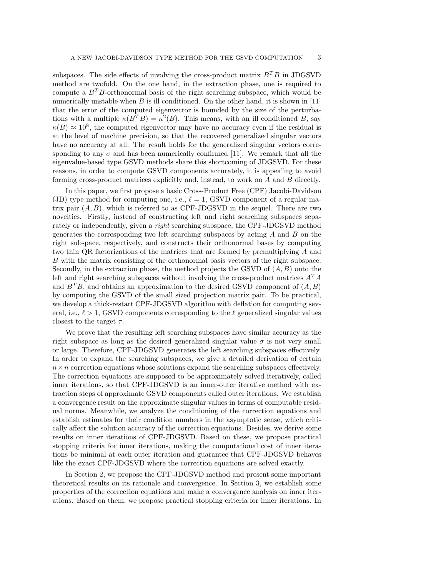subspaces. The side effects of involving the cross-product matrix  $B^T B$  in JDGSVD method are twofold. On the one hand, in the extraction phase, one is required to compute a  $B<sup>T</sup>B$ -orthonormal basis of the right searching subspace, which would be numerically unstable when  $B$  is ill conditioned. On the other hand, it is shown in [\[11\]](#page-24-15) that the error of the computed eigenvector is bounded by the size of the perturbations with a multiple  $\kappa(B^TB) = \kappa^2(B)$ . This means, with an ill conditioned B, say  $\kappa(B) \approx 10^8$ , the computed eigenvector may have no accuracy even if the residual is at the level of machine precision, so that the recovered generalized singular vectors have no accuracy at all. The result holds for the generalized singular vectors corresponding to any  $\sigma$  and has been numerically confirmed [\[11\]](#page-24-15). We remark that all the eigenvalue-based type GSVD methods share this shortcoming of JDGSVD. For these reasons, in order to compute GSVD components accurately, it is appealing to avoid forming cross-product matrices explicitly and, instead, to work on A and B directly.

In this paper, we first propose a basic Cross-Product Free (CPF) Jacobi-Davidson (JD) type method for computing one, i.e.,  $\ell = 1$ , GSVD component of a regular matrix pair  $(A, B)$ , which is referred to as CPF-JDGSVD in the sequel. There are two novelties. Firstly, instead of constructing left and right searching subspaces separately or independently, given a *right* searching subspace, the CPF-JDGSVD method generates the corresponding two left searching subspaces by acting  $A$  and  $B$  on the right subspace, respectively, and constructs their orthonormal bases by computing two thin QR factorizations of the matrices that are formed by premultiplying A and B with the matrix consisting of the orthonormal basis vectors of the right subspace. Secondly, in the extraction phase, the method projects the GSVD of  $(A, B)$  onto the left and right searching subspaces without involving the cross-product matrices  $A^T A$ and  $B^T B$ , and obtains an approximation to the desired GSVD component of  $(A, B)$ by computing the GSVD of the small sized projection matrix pair. To be practical, we develop a thick-restart CPF-JDGSVD algorithm with deflation for computing several, i.e.,  $\ell > 1$ , GSVD components corresponding to the  $\ell$  generalized singular values closest to the target  $\tau$ .

We prove that the resulting left searching subspaces have similar accuracy as the right subspace as long as the desired generalized singular value  $\sigma$  is not very small or large. Therefore, CPF-JDGSVD generates the left searching subspaces effectively. In order to expand the searching subspaces, we give a detailed derivation of certain  $n \times n$  correction equations whose solutions expand the searching subspaces effectively. The correction equations are supposed to be approximately solved iteratively, called inner iterations, so that CPF-JDGSVD is an inner-outer iterative method with extraction steps of approximate GSVD components called outer iterations. We establish a convergence result on the approximate singular values in terms of computable residual norms. Meanwhile, we analyze the conditioning of the correction equations and establish estimates for their condition numbers in the asymptotic sense, which critically affect the solution accuracy of the correction equations. Besides, we derive some results on inner iterations of CPF-JDGSVD. Based on these, we propose practical stopping criteria for inner iterations, making the computational cost of inner iterations be minimal at each outer iteration and guarantee that CPF-JDGSVD behaves like the exact CPF-JDGSVD where the correction equations are solved exactly.

In Section [2,](#page-3-0) we propose the CPF-JDGSVD method and present some important theoretical results on its rationale and convergence. In Section [3,](#page-9-0) we establish some properties of the correction equations and make a convergence analysis on inner iterations. Based on them, we propose practical stopping criteria for inner iterations. In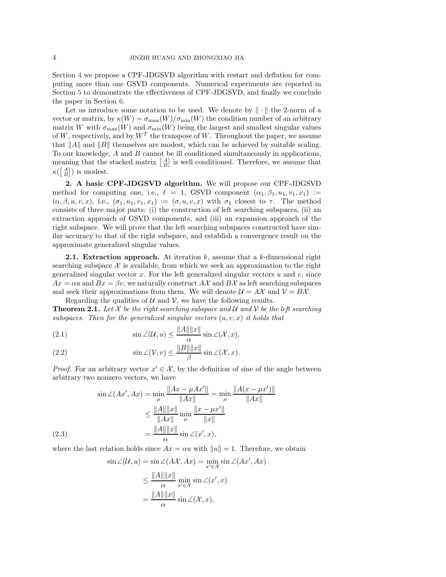Section [4](#page-15-0) we propose a CPF-JDGSVD algorithm with restart and deflation for computing more than one GSVD components. Numerical experiments are reported in Section [5](#page-19-0) to demonstrate the effectiveness of CPF-JDGSVD, and finally we conclude the paper in Section [6.](#page-23-0)

Let us introduce some notation to be used. We denote by  $\|\cdot\|$  the 2-norm of a vector or matrix, by  $\kappa(W) = \sigma_{\max}(W)/\sigma_{\min}(W)$  the condition number of an arbitrary matrix W with  $\sigma_{\max}(W)$  and  $\sigma_{\min}(W)$  being the largest and smallest singular values of W, respectively, and by  $W<sup>T</sup>$  the transpose of W. Throughout the paper, we assume that  $||A||$  and  $||B||$  themselves are modest, which can be achieved by suitable scaling. To our knowledge,  $A$  and  $B$  cannot be ill conditioned simultaneously in applications, meaning that the stacked matrix  $\begin{bmatrix} A \\ B \end{bmatrix}$  is well conditioned. Therefore, we assume that  $\kappa(\begin{bmatrix} A \\ B \end{bmatrix})$  is modest.

<span id="page-3-0"></span>2. A basic CPF-JDGSVD algorithm. We will propose our CPF-JDGSVD method for computing one, i.e.,  $\ell = 1$ , GSVD component  $(\alpha_1, \beta_1, u_1, v_1, x_1) :=$  $(\alpha, \beta, u, v, x)$ , i.e.,  $(\sigma_1, u_1, v_1, x_1) := (\sigma, u, v, x)$  with  $\sigma_1$  closest to  $\tau$ . The method consists of three major parts: (i) the construction of left searching subspaces, (ii) an extraction approach of GSVD components, and (iii) an expansion approach of the right subspace. We will prove that the left searching subspaces constructed have similar accuracy to that of the right subspace, and establish a convergence result on the approximate generalized singular values.

**2.1.** Extraction approach. At iteration  $k$ , assume that a  $k$ -dimensional right searching subspace  $\mathcal X$  is available, from which we seek an approximation to the right generalized singular vector  $x$ . For the left generalized singular vectors  $u$  and  $v$ , since  $Ax = \alpha u$  and  $Bx = \beta v$ , we naturally construct  $A\mathcal{X}$  and  $B\mathcal{X}$  as left searching subspaces and seek their approximations from them. We will denote  $\mathcal{U} = A\mathcal{X}$  and  $\mathcal{V} = B\mathcal{X}$ .

<span id="page-3-2"></span>Regarding the qualities of  $U$  and  $V$ , we have the following results. **Theorem 2.1.** Let X be the right searching subspace and U and V be the left searching *subspaces. Then for the generalized singular vectors* (u, v, x) *it holds that*

<span id="page-3-1"></span>(2.1) 
$$
\sin \angle(\mathcal{U}, u) \le \frac{\|A\| \|x\|}{\alpha} \sin \angle(\mathcal{X}, x),
$$

(2.2) 
$$
\sin \angle(\mathcal{V}, v) \le \frac{\|B\| \|x\|}{\beta} \sin \angle(\mathcal{X}, x).
$$

*Proof.* For an arbitrary vector  $x' \in \mathcal{X}$ , by the definition of sine of the angle between arbitrary two nonzero vectors, we have

<span id="page-3-3"></span>
$$
\sin \angle(Ax', Ax) = \min_{\mu} \frac{||Ax - \mu Ax'||}{||Ax||} = \min_{\mu} \frac{||A(x - \mu x')||}{||Ax||}
$$

$$
\leq \frac{||A|| ||x||}{||Ax||} \min_{\mu} \frac{||x - \mu x'||}{||x||}
$$

$$
(2.3)
$$

$$
= \frac{||A|| ||x||}{\alpha} \sin \angle(x', x),
$$

where the last relation holds since  $Ax = \alpha u$  with  $||u|| = 1$ . Therefore, we obtain

$$
\sin \angle(\mathcal{U}, u) = \sin \angle(A\mathcal{X}, Ax) = \min_{x' \in \mathcal{X}} \sin \angle(Ax', Ax)
$$

$$
\leq \frac{\|A\| \|x\|}{\alpha} \min_{x' \in \mathcal{X}} \sin \angle(x', x)
$$

$$
= \frac{\|A\| \|x\|}{\alpha} \sin \angle(\mathcal{X}, x),
$$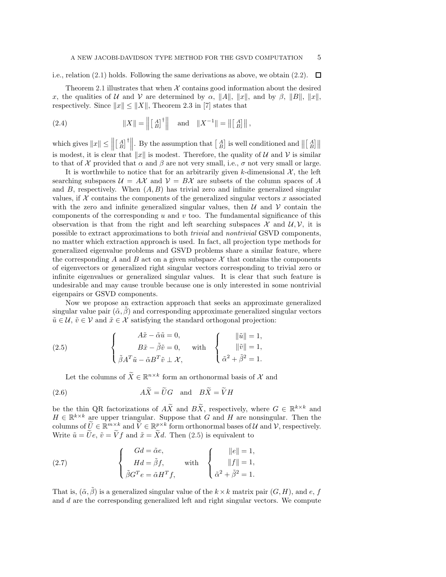i.e., relation [\(2.1\)](#page-3-1) holds. Following the same derivations as above, we obtain [\(2.2\)](#page-3-1).  $\Box$ 

Theorem [2.1](#page-3-2) illustrates that when  $X$  contains good information about the desired x, the qualities of U and V are determined by  $\alpha$ ,  $||A||$ ,  $||x||$ , and by  $\beta$ ,  $||B||$ ,  $||x||$ , respectively. Since  $||x|| \le ||X||$ , Theorem 2.3 in [\[7\]](#page-24-16) states that

<span id="page-4-2"></span>(2.4) 
$$
||X|| = ||[A^A]^\dagger|| \text{ and } ||X^{-1}|| = ||[A^A]||,
$$

which gives  $||x|| \le ||$  $\begin{bmatrix} A \\ B \end{bmatrix}^{\dagger}$ . By the assumption that  $\begin{bmatrix} A \\ B \end{bmatrix}$  is well conditioned and  $\left\| \begin{bmatrix} A \\ B \end{bmatrix} \right\|$ is modest, it is clear that  $||x||$  is modest. Therefore, the quality of U and V is similar to that of X provided that  $\alpha$  and  $\beta$  are not very small, i.e.,  $\sigma$  not very small or large.

It is worthwhile to notice that for an arbitrarily given k-dimensional  $\mathcal{X}$ , the left searching subspaces  $\mathcal{U} = A\mathcal{X}$  and  $\mathcal{V} = B\mathcal{X}$  are subsets of the column spaces of A and  $B$ , respectively. When  $(A, B)$  has trivial zero and infinite generalized singular values, if  $X$  contains the components of the generalized singular vectors  $x$  associated with the zero and infinite generalized singular values, then  $\mathcal U$  and  $\mathcal V$  contain the components of the corresponding  $u$  and  $v$  too. The fundamental significance of this observation is that from the right and left searching subspaces  $\mathcal X$  and  $\mathcal U, \mathcal V$ , it is possible to extract approximations to both *trivial* and *nontrivial* GSVD components, no matter which extraction approach is used. In fact, all projection type methods for generalized eigenvalue problems and GSVD problems share a similar feature, where the corresponding A and B act on a given subspace  $\mathcal X$  that contains the components of eigenvectors or generalized right singular vectors corresponding to trivial zero or infinite eigenvalues or generalized singular values. It is clear that such feature is undesirable and may cause trouble because one is only interested in some nontrivial eigenpairs or GSVD components.

Now we propose an extraction approach that seeks an approximate generalized singular value pair  $(\tilde{\alpha}, \tilde{\beta})$  and corresponding approximate generalized singular vectors  $\tilde{u} \in \mathcal{U}, \tilde{v} \in \mathcal{V}$  and  $\tilde{x} \in \mathcal{X}$  satisfying the standard orthogonal projection:

(2.5) 
$$
\begin{cases}\nA\tilde{x} - \tilde{\alpha}\tilde{u} = 0, \\
B\tilde{x} - \tilde{\beta}\tilde{v} = 0, \\
\tilde{\beta}A^T\tilde{u} - \tilde{\alpha}B^T\tilde{v} \perp \mathcal{X},\n\end{cases}\n\text{with}\n\begin{cases}\n\|\tilde{u}\| = 1, \\
\|\tilde{v}\| = 1, \\
\tilde{\alpha}^2 + \tilde{\beta}^2 = 1.\n\end{cases}
$$

<span id="page-4-3"></span><span id="page-4-1"></span><span id="page-4-0"></span>Let the columns of  $\widetilde{X} \in \mathbb{R}^{n \times k}$  form an orthonormal basis of  $\mathcal{X}$  and

(2.6) 
$$
AX = \hat{U}G \text{ and } B\hat{X} = \hat{V}H
$$

be the thin QR factorizations of  $A\widetilde{X}$  and  $B\widetilde{X}$ , respectively, where  $G \in \mathbb{R}^{k \times k}$  and  $H \in \mathbb{R}^{k \times k}$  are upper triangular. Suppose that G and H are nonsingular. Then the columns of  $\widetilde{U} \in \mathbb{R}^{m \times k}$  and  $\widetilde{V} \in \mathbb{R}^{p \times k}$  form orthonormal bases of U and V, respectively. Write  $\tilde{u} = \tilde{U}e$ ,  $\tilde{v} = \tilde{V}f$  and  $\tilde{x} = \tilde{X}d$ . Then [\(2.5\)](#page-4-0) is equivalent to

(2.7) 
$$
\begin{cases}\nGd = \tilde{\alpha}e, \\
Hd = \tilde{\beta}f, \\
\tilde{\beta}G^{T}e = \tilde{\alpha}H^{T}f,\n\end{cases}\n\text{ with }\n\begin{cases}\n\|e\| = 1, \\
\|f\| = 1, \\
\tilde{\alpha}^{2} + \tilde{\beta}^{2} = 1.\n\end{cases}
$$

That is,  $(\tilde{\alpha}, \tilde{\beta})$  is a generalized singular value of the  $k \times k$  matrix pair  $(G, H)$ , and e, f and d are the corresponding generalized left and right singular vectors. We compute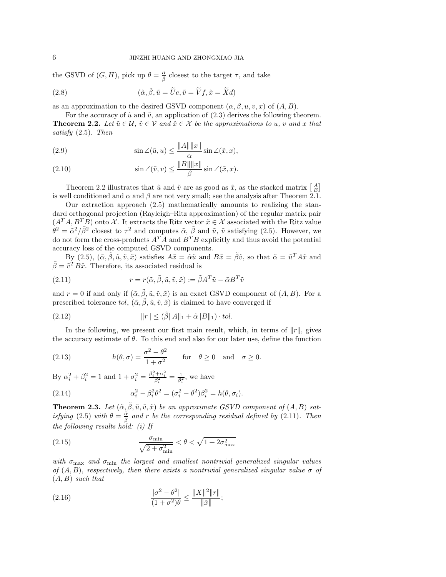the GSVD of  $(G, H)$ , pick up  $\theta = \frac{\tilde{\alpha}}{\tilde{\beta}}$  closest to the target  $\tau$ , and take

(2.8) 
$$
(\tilde{\alpha}, \tilde{\beta}, \tilde{u} = \tilde{U}e, \tilde{v} = \tilde{V}f, \tilde{x} = \tilde{X}d)
$$

as an approximation to the desired GSVD component  $(\alpha, \beta, u, v, x)$  of  $(A, B)$ .

<span id="page-5-0"></span>For the accuracy of  $\tilde{u}$  and  $\tilde{v}$ , an application of [\(2.3\)](#page-3-3) derives the following theorem. **Theorem 2.2.** Let  $\tilde{u} \in \mathcal{U}$ ,  $\tilde{v} \in \mathcal{V}$  and  $\tilde{x} \in \mathcal{X}$  be the approximations to u, v and x that *satisfy* [\(2.5\)](#page-4-0)*. Then*

(2.9) 
$$
\sin \angle(\tilde{u}, u) \le \frac{\|A\| \|x\|}{\alpha} \sin \angle(\tilde{x}, x),
$$

(2.10) 
$$
\sin \angle(\tilde{v}, v) \le \frac{\|B\| \|x\|}{\beta} \sin \angle(\tilde{x}, x).
$$

Theorem [2.2](#page-5-0) illustrates that  $\tilde{u}$  and  $\tilde{v}$  are as good as  $\tilde{x}$ , as the stacked matrix  $\begin{bmatrix} A \\ B \end{bmatrix}$ is well conditioned and  $\alpha$  and  $\beta$  are not very small; see the analysis after Theorem [2.1.](#page-3-2)

Our extraction approach [\(2.5\)](#page-4-0) mathematically amounts to realizing the standard orthogonal projection (Rayleigh–Ritz approximation) of the regular matrix pair  $(A^T A, B^T B)$  onto X. It extracts the Ritz vector  $\tilde{x} \in \mathcal{X}$  associated with the Ritz value  $\hat{\theta}^2 = \tilde{\alpha}^2/\tilde{\beta}^2$  closest to  $\tau^2$  and computes  $\tilde{\alpha}$ ,  $\tilde{\beta}$  and  $\tilde{u}$ ,  $\tilde{v}$  satisfying [\(2.5\)](#page-4-0). However, we do not form the cross-products  $A^T A$  and  $B^T B$  explicitly and thus avoid the potential accuracy loss of the computed GSVD components.

<span id="page-5-1"></span>By [\(2.5\)](#page-4-0),  $(\tilde{\alpha}, \tilde{\beta}, \tilde{u}, \tilde{v}, \tilde{x})$  satisfies  $A\tilde{x} = \tilde{\alpha}\tilde{u}$  and  $B\tilde{x} = \tilde{\beta}\tilde{v}$ , so that  $\tilde{\alpha} = \tilde{u}^T A\tilde{x}$  and  $\tilde{\beta} = \tilde{v}^T B \tilde{x}$ . Therefore, its associated residual is

(2.11) 
$$
r = r(\tilde{\alpha}, \tilde{\beta}, \tilde{u}, \tilde{v}, \tilde{x}) := \tilde{\beta} A^T \tilde{u} - \tilde{\alpha} B^T \tilde{v}
$$

and  $r = 0$  if and only if  $(\tilde{\alpha}, \tilde{\beta}, \tilde{u}, \tilde{v}, \tilde{x})$  is an exact GSVD component of  $(A, B)$ . For a prescribed tolerance tol,  $(\tilde{\alpha}, \tilde{\beta}, \tilde{u}, \tilde{v}, \tilde{x})$  is claimed to have converged if

<span id="page-5-7"></span>(2.12) 
$$
||r|| \leq (\tilde{\beta}||A||_1 + \tilde{\alpha}||B||_1) \cdot tol.
$$

In the following, we present our first main result, which, in terms of  $||r||$ , gives the accuracy estimate of  $\theta$ . To this end and also for our later use, define the function

<span id="page-5-3"></span>(2.13) 
$$
h(\theta, \sigma) = \frac{\sigma^2 - \theta^2}{1 + \sigma^2} \quad \text{for} \quad \theta \ge 0 \quad \text{and} \quad \sigma \ge 0.
$$

<span id="page-5-2"></span>By  $\alpha_i^2 + \beta_i^2 = 1$  and  $1 + \sigma_i^2 = \frac{\beta_i^2 + \alpha_i^2}{\beta_i^2} = \frac{1}{\beta_i^2}$ , we have

(2.14) 
$$
\alpha_i^2 - \beta_i^2 \theta^2 = (\sigma_i^2 - \theta^2)\beta_i^2 = h(\theta, \sigma_i).
$$

<span id="page-5-6"></span>**Theorem 2.3.** Let  $(\tilde{\alpha}, \tilde{\beta}, \tilde{u}, \tilde{v}, \tilde{x})$  be an approximate GSVD component of  $(A, B)$  sat*isfying* [\(2.5\)](#page-4-0) *with*  $\theta = \frac{\tilde{\alpha}}{\tilde{\beta}}$  *and* r *be the corresponding residual defined by* [\(2.11\)](#page-5-1)*. Then the following results hold: (i) If*

<span id="page-5-4"></span>(2.15) 
$$
\frac{\sigma_{\min}}{\sqrt{2 + \sigma_{\min}^2}} < \theta < \sqrt{1 + 2\sigma_{\max}^2}
$$

*with* σmax *and* σmin *the largest and smallest nontrivial generalized singular values of*  $(A, B)$ *, respectively, then there exists a nontrivial generalized singular value*  $\sigma$  *of* (A, B) *such that*

<span id="page-5-5"></span>(2.16) 
$$
\frac{|\sigma^2 - \theta^2|}{(1 + \sigma^2)\theta} \le \frac{\|X\|^2 \|r\|}{\|\tilde{x}\|};
$$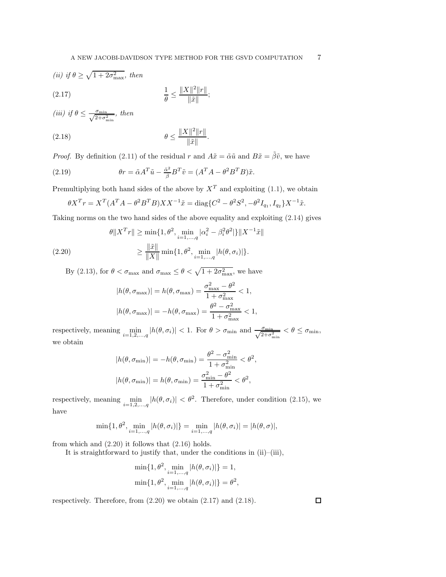<span id="page-6-1"></span>(ii) if 
$$
\theta \ge \sqrt{1 + 2\sigma_{\text{max}}^2}
$$
, then  
(2.17) 
$$
\frac{1}{\theta} \le \frac{\|X\|^2 \|r\|}{\|\tilde{x}\|};
$$

<span id="page-6-2"></span>(iii) if 
$$
\theta \le \frac{\sigma_{\min}}{\sqrt{2+\sigma_{\min}^2}}
$$
, then

(2.18) 
$$
\theta \le \frac{\|X\|^2 \|r\|}{\|\tilde{x}\|}.
$$

*Proof.* By definition [\(2.11\)](#page-5-1) of the residual r and  $A\tilde{x} = \tilde{\alpha}\tilde{u}$  and  $B\tilde{x} = \tilde{\beta}\tilde{v}$ , we have

(2.19) 
$$
\theta r = \tilde{\alpha} A^T \tilde{u} - \frac{\tilde{\alpha}^2}{\tilde{\beta}} B^T \tilde{v} = (A^T A - \theta^2 B^T B) \tilde{x}.
$$

Premultiplying both hand sides of the above by  $X<sup>T</sup>$  and exploiting [\(1.1\)](#page-0-0), we obtain

<span id="page-6-0"></span>
$$
\theta X^T r = X^T (A^T A - \theta^2 B^T B) X X^{-1} \tilde{x} = \text{diag}\{C^2 - \theta^2 S^2, -\theta^2 I_{q_1}, I_{q_2}\} X^{-1} \tilde{x}.
$$

Taking norms on the two hand sides of the above equality and exploiting [\(2.14\)](#page-5-2) gives

(2.20) 
$$
\theta \|X^T r\| \ge \min\{1, \theta^2, \min_{i=1,\dots,q} |\alpha_i^2 - \beta_i^2 \theta^2|\} \|X^{-1}\tilde{x}\|
$$

$$
\ge \frac{\|\tilde{x}\|}{\|X\|} \min\{1, \theta^2, \min_{i=1,\dots,q} |h(\theta, \sigma_i)|\}.
$$

By [\(2.13\)](#page-5-3), for  $\theta < \sigma_{\max}$  and  $\sigma_{\max} \leq \theta < \sqrt{1 + 2\sigma_{\max}^2}$ , we have

<span id="page-6-3"></span>
$$
|h(\theta, \sigma_{\max})| = h(\theta, \sigma_{\max}) = \frac{\sigma_{\max}^2 - \theta^2}{1 + \sigma_{\max}^2} < 1,
$$
  

$$
|h(\theta, \sigma_{\max})| = -h(\theta, \sigma_{\max}) = \frac{\theta^2 - \sigma_{\max}^2}{1 + \sigma_{\max}^2} < 1,
$$

respectively, meaning  $\min_{i=1,2,\dots,q} |h(\theta, \sigma_i)| < 1$ . For  $\theta > \sigma_{\min}$  and  $\frac{\sigma_{\min}}{\sqrt{2+\sigma_{\min}^2}} < \theta \le \sigma_{\min}$ , we obtain

$$
|h(\theta, \sigma_{\min})| = -h(\theta, \sigma_{\min}) = \frac{\theta^2 - \sigma_{\min}^2}{1 + \sigma_{\min}^2} < \theta^2,
$$
  

$$
|h(\theta, \sigma_{\min})| = h(\theta, \sigma_{\min}) = \frac{\sigma_{\min}^2 - \theta^2}{1 + \sigma_{\min}^2} < \theta^2,
$$

respectively, meaning  $\min_{i=1,2,...,q} |h(\theta, \sigma_i)| < \theta^2$ . Therefore, under condition [\(2.15\)](#page-5-4), we have

$$
\min\{1, \theta^2, \min_{i=1,\dots,q} |h(\theta, \sigma_i)|\} = \min_{i=1,\dots,q} |h(\theta, \sigma_i)| = |h(\theta, \sigma)|,
$$

from which and  $(2.20)$  it follows that  $(2.16)$  holds.

It is straightforward to justify that, under the conditions in (ii)–(iii),

$$
\min\{1, \theta^2, \min_{i=1,\dots,q} |h(\theta, \sigma_i)|\} = 1,
$$
  

$$
\min\{1, \theta^2, \min_{i=1,\dots,q} |h(\theta, \sigma_i)|\} = \theta^2,
$$

respectively. Therefore, from [\(2.20\)](#page-6-0) we obtain [\(2.17\)](#page-6-1) and [\(2.18\)](#page-6-2).

 $\Box$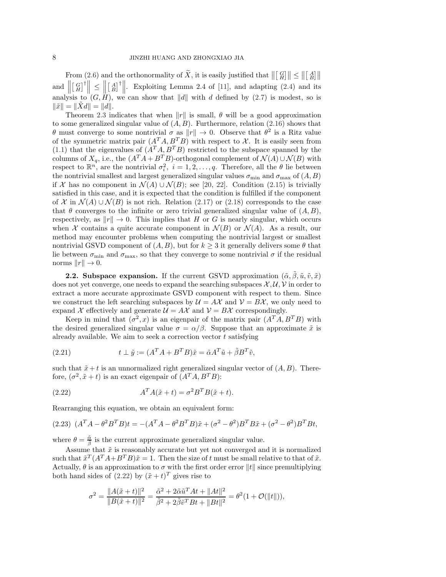From [\(2.6\)](#page-4-1) and the orthonormality of  $\widetilde{X}$ , it is easily justified that  $\left\| \begin{bmatrix} G \\ H \end{bmatrix} \right\| \leq \left\| \begin{bmatrix} A \\ B \end{bmatrix} \right\|$ and  $\parallel$  $\left[\begin{array}{c} G \\ H \end{array}\right]^{\dagger} \leq$  $\biggl\} \biggl[$  $\begin{bmatrix} A \\ B \end{bmatrix}^{\dagger}$ . Exploiting Lemma 2.4 of [\[11\]](#page-24-15), and adapting [\(2.4\)](#page-4-2) and its analysis to  $(G, H)$ , we can show that ||d|| with d defined by [\(2.7\)](#page-4-3) is modest, so is  $\|\tilde{x}\| = \|Xd\| = \|d\|.$ 

Theorem [2.3](#page-5-6) indicates that when  $||r||$  is small,  $\theta$  will be a good approximation to some generalized singular value of  $(A, B)$ . Furthermore, relation  $(2.16)$  shows that  $θ$  must converge to some nontrivial  $σ$  as  $||r|| \rightarrow 0$ . Observe that  $θ^2$  is a Ritz value of the symmetric matrix pair  $(A^T A, B^T B)$  with respect to X. It is easily seen from [\(1.1\)](#page-0-0) that the eigenvalues of  $(A^T A, B^T B)$  restricted to the subspace spanned by the columns of  $X_q$ , i.e., the  $(A^T A + B^T B)$ -orthogonal complement of  $\mathcal{N}(A) \cup \mathcal{N}(B)$  with respect to  $\mathbb{R}^n$ , are the nontrivial  $\sigma_i^2$ ,  $i = 1, 2, ..., q$ . Therefore, all the  $\theta$  lie between the nontrivial smallest and largest generalized singular values  $\sigma_{\min}$  and  $\sigma_{\max}$  of  $(A, B)$ if X has no component in  $\mathcal{N}(A) \cup \mathcal{N}(B)$ ; see [\[20,](#page-24-17) [22\]](#page-24-18). Condition [\(2.15\)](#page-5-4) is trivially satisfied in this case, and it is expected that the condition is fulfilled if the component of X in  $\mathcal{N}(A) \cup \mathcal{N}(B)$  is not rich. Relation [\(2.17\)](#page-6-1) or [\(2.18\)](#page-6-2) corresponds to the case that  $\theta$  converges to the infinite or zero trivial generalized singular value of  $(A, B)$ , respectively, as  $||r|| \to 0$ . This implies that H or G is nearly singular, which occurs when X contains a quite accurate component in  $\mathcal{N}(B)$  or  $\mathcal{N}(A)$ . As a result, our method may encounter problems when computing the nontrivial largest or smallest nontrivial GSVD component of  $(A, B)$ , but for  $k \geq 3$  it generally delivers some  $\theta$  that lie between  $\sigma_{\min}$  and  $\sigma_{\max}$ , so that they converge to some nontrivial  $\sigma$  if the residual norms  $||r|| \rightarrow 0$ .

<span id="page-7-3"></span>**2.2. Subspace expansion.** If the current GSVD approximation  $(\tilde{\alpha}, \tilde{\beta}, \tilde{u}, \tilde{v}, \tilde{x})$ does not yet converge, one needs to expand the searching subspaces  $\mathcal{X}, \mathcal{U}, \mathcal{V}$  in order to extract a more accurate approximate GSVD component with respect to them. Since we construct the left searching subspaces by  $\mathcal{U} = A\mathcal{X}$  and  $\mathcal{V} = B\mathcal{X}$ , we only need to expand X effectively and generate  $\mathcal{U} = A\mathcal{X}$  and  $\mathcal{V} = B\mathcal{X}$  correspondingly.

Keep in mind that  $(\sigma^2, x)$  is an eigenpair of the matrix pair  $(A^T A, B^T B)$  with the desired generalized singular value  $\sigma = \alpha/\beta$ . Suppose that an approximate  $\tilde{x}$  is already available. We aim to seek a correction vector  $t$  satisfying

<span id="page-7-2"></span>(2.21) 
$$
t \perp \tilde{y} := (A^T A + B^T B)\tilde{x} = \tilde{\alpha} A^T \tilde{u} + \tilde{\beta} B^T \tilde{v},
$$

such that  $\tilde{x} + t$  is an unnormalized right generalized singular vector of  $(A, B)$ . Therefore,  $(\sigma^2, \tilde{x} + t)$  is an exact eigenpair of  $(A^T A, B^T B)$ :

<span id="page-7-0"></span>(2.22) 
$$
A^T A(\tilde{x} + t) = \sigma^2 B^T B(\tilde{x} + t).
$$

Rearranging this equation, we obtain an equivalent form:

$$
(2.23)\ \ (A^T A - \theta^2 B^T B)t = -(A^T A - \theta^2 B^T B)\tilde{x} + (\sigma^2 - \theta^2)B^T B \tilde{x} + (\sigma^2 - \theta^2)B^T B t,
$$

where  $\theta = \frac{\tilde{\alpha}}{\tilde{\beta}}$  is the current approximate generalized singular value.

Assume that  $\tilde{x}$  is reasonably accurate but yet not converged and it is normalized such that  $\tilde{x}^T (A^T A + B^T B)\tilde{x} = 1$ . Then the size of t must be small relative to that of  $\tilde{x}$ . Actually,  $\theta$  is an approximation to  $\sigma$  with the first order error  $||t||$  since premultiplying both hand sides of  $(2.22)$  by  $(\tilde{x} + t)^T$  gives rise to

<span id="page-7-1"></span>
$$
\sigma^2 = \frac{\|A(\tilde{x}+t)\|^2}{\|B(\tilde{x}+t)\|^2} = \frac{\tilde{\alpha}^2 + 2\tilde{\alpha}\tilde{u}^T At + \|At\|^2}{\tilde{\beta}^2 + 2\tilde{\beta}\tilde{v}^T B t + \|Bt\|^2} = \theta^2 (1 + \mathcal{O}(\|t\|)),
$$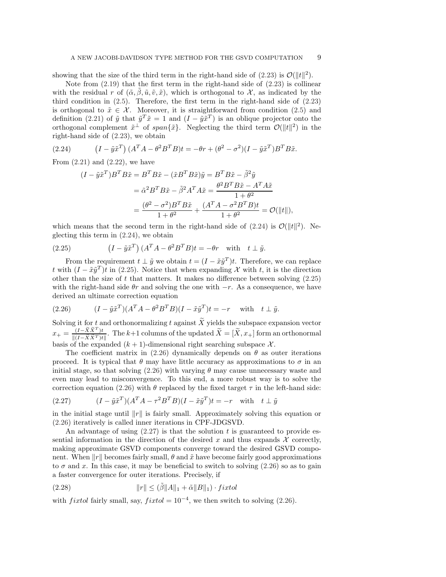showing that the size of the third term in the right-hand side of  $(2.23)$  is  $\mathcal{O}(\Vert t \Vert^2)$ .

Note from  $(2.19)$  that the first term in the right-hand side of  $(2.23)$  is collinear with the residual r of  $(\tilde{\alpha}, \beta, \tilde{u}, \tilde{v}, \tilde{x})$ , which is orthogonal to X, as indicated by the third condition in [\(2.5\)](#page-4-0). Therefore, the first term in the right-hand side of [\(2.23\)](#page-7-1) is orthogonal to  $\tilde{x} \in \mathcal{X}$ . Moreover, it is straightforward from condition [\(2.5\)](#page-4-0) and definition [\(2.21\)](#page-7-2) of  $\tilde{y}$  that  $\tilde{y}^T \tilde{x} = 1$  and  $(I - \tilde{y} \tilde{x}^T)$  is an oblique projector onto the orthogonal complement  $\tilde{x}^{\perp}$  of span $\{\tilde{x}\}$ . Neglecting the third term  $\mathcal{O}(|t||^2)$  in the right-hand side of [\(2.23\)](#page-7-1), we obtain

(2.24) 
$$
(I - \tilde{y}\tilde{x}^T) (A^T A - \theta^2 B^T B)t = -\theta r + (\theta^2 - \sigma^2)(I - \tilde{y}\tilde{x}^T) B^T B \tilde{x}.
$$

From  $(2.21)$  and  $(2.22)$ , we have

<span id="page-8-1"></span><span id="page-8-0"></span>
$$
(I - \tilde{y}\tilde{x}^T)B^T B \tilde{x} = B^T B \tilde{x} - (\tilde{x}B^T B \tilde{x})\tilde{y} = B^T B \tilde{x} - \tilde{\beta}^2 \tilde{y}
$$
  

$$
= \tilde{\alpha}^2 B^T B \tilde{x} - \tilde{\beta}^2 A^T A \tilde{x} = \frac{\theta^2 B^T B \tilde{x} - A^T A \tilde{x}}{1 + \theta^2}
$$
  

$$
= \frac{(\theta^2 - \sigma^2)B^T B \tilde{x}}{1 + \theta^2} + \frac{(A^T A - \sigma^2 B^T B)t}{1 + \theta^2} = \mathcal{O}(\Vert t \Vert),
$$

which means that the second term in the right-hand side of  $(2.24)$  is  $\mathcal{O}(\Vert t \Vert^2)$ . Neglecting this term in [\(2.24\)](#page-8-0), we obtain

(2.25) 
$$
(I - \tilde{y}\tilde{x}^T) (A^T A - \theta^2 B^T B)t = -\theta r \quad \text{with} \quad t \perp \tilde{y}.
$$

From the requirement  $t \perp \tilde{y}$  we obtain  $t = (I - \tilde{x}\tilde{y}^T)t$ . Therefore, we can replace t with  $(I - \tilde{x}\tilde{y}^T)t$  in [\(2.25\)](#page-8-1). Notice that when expanding X with t, it is the direction other than the size of  $t$  that matters. It makes no difference between solving  $(2.25)$ with the right-hand side  $\theta r$  and solving the one with  $-r$ . As a consequence, we have derived an ultimate correction equation

<span id="page-8-2"></span>(2.26) 
$$
(I - \tilde{y}\tilde{x}^T)(A^T A - \theta^2 B^T B)(I - \tilde{x}\tilde{y}^T)t = -r \text{ with } t \perp \tilde{y}.
$$

Solving it for t and orthonormalizing t against  $\widetilde{X}$  yields the subspace expansion vector  $x_{+} = \frac{(I - \widetilde{X} \widetilde{X}^{T})t}{\mathbb{I}(I - \widetilde{X} \widetilde{X}^{T})t}$  $\frac{(1-\lambda X)^t}{\|(1-\tilde{X}\tilde{X}^T)t\|}$ . The k+1 columns of the updated  $X=[X, x_+]$  form an orthonormal basis of the expanded  $(k + 1)$ -dimensional right searching subspace X.

The coefficient matrix in [\(2.26\)](#page-8-2) dynamically depends on  $\theta$  as outer iterations proceed. It is typical that  $\theta$  may have little accuracy as approximations to  $\sigma$  in an initial stage, so that solving  $(2.26)$  with varying  $\theta$  may cause unnecessary waste and even may lead to misconvergence. To this end, a more robust way is to solve the correction equation [\(2.26\)](#page-8-2) with  $\theta$  replaced by the fixed target  $\tau$  in the left-hand side:

<span id="page-8-3"></span>(2.27) 
$$
(I - \tilde{y}\tilde{x}^T)(A^T A - \tau^2 B^T B)(I - \tilde{x}\tilde{y}^T)t = -r \text{ with } t \perp \tilde{y}
$$

in the initial stage until  $||r||$  is fairly small. Approximately solving this equation or [\(2.26\)](#page-8-2) iteratively is called inner iterations in CPF-JDGSVD.

An advantage of using  $(2.27)$  is that the solution t is guaranteed to provide essential information in the direction of the desired x and thus expands  $\mathcal X$  correctly, making approximate GSVD components converge toward the desired GSVD component. When  $||r||$  becomes fairly small,  $\theta$  and  $\tilde{x}$  have become fairly good approximations to  $\sigma$  and x. In this case, it may be beneficial to switch to solving [\(2.26\)](#page-8-2) so as to gain a faster convergence for outer iterations. Precisely, if

<span id="page-8-4"></span>(2.28) 
$$
||r|| \leq (\tilde{\beta}||A||_1 + \tilde{\alpha}||B||_1) \cdot \text{fixed}
$$

with *fixtol* fairly small, say,  $fixed = 10^{-4}$ , we then switch to solving [\(2.26\)](#page-8-2).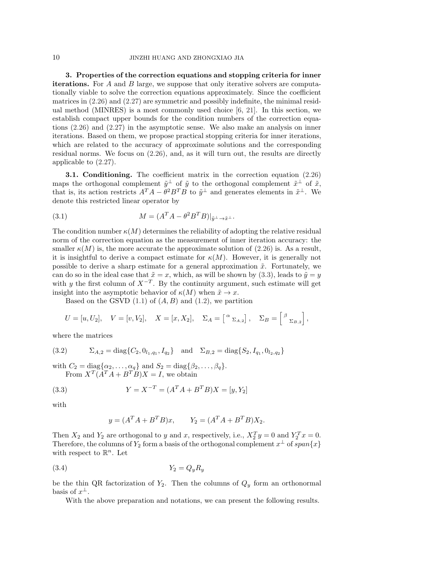<span id="page-9-0"></span>3. Properties of the correction equations and stopping criteria for inner iterations. For A and B large, we suppose that only iterative solvers are computationally viable to solve the correction equations approximately. Since the coefficient matrices in [\(2.26\)](#page-8-2) and [\(2.27\)](#page-8-3) are symmetric and possibly indefinite, the minimal residual method (MINRES) is a most commonly used choice [\[6,](#page-24-19) [21\]](#page-24-20). In this section, we establish compact upper bounds for the condition numbers of the correction equations [\(2.26\)](#page-8-2) and [\(2.27\)](#page-8-3) in the asymptotic sense. We also make an analysis on inner iterations. Based on them, we propose practical stopping criteria for inner iterations, which are related to the accuracy of approximate solutions and the corresponding residual norms. We focus on [\(2.26\)](#page-8-2), and, as it will turn out, the results are directly applicable to [\(2.27\)](#page-8-3).

3.1. Conditioning. The coefficient matrix in the correction equation [\(2.26\)](#page-8-2) maps the orthogonal complement  $\tilde{y}^{\perp}$  of  $\tilde{y}$  to the orthogonal complement  $\tilde{x}^{\perp}$  of  $\tilde{x}$ , that is, its action restricts  $A^T A - \theta^2 B^T B$  to  $\tilde{y}^{\perp}$  and generates elements in  $\tilde{x}^{\perp}$ . We denote this restricted linear operator by

<span id="page-9-2"></span>(3.1) 
$$
M = (A^T A - \theta^2 B^T B)|_{\tilde{y}^\perp \to \tilde{x}^\perp}.
$$

The condition number  $\kappa(M)$  determines the reliability of adopting the relative residual norm of the correction equation as the measurement of inner iteration accuracy: the smaller  $\kappa(M)$  is, the more accurate the approximate solution of [\(2.26\)](#page-8-2) is. As a result, it is insightful to derive a compact estimate for  $\kappa(M)$ . However, it is generally not possible to derive a sharp estimate for a general approximation  $\tilde{x}$ . Fortunately, we can do so in the ideal case that  $\tilde{x} = x$ , which, as will be shown by [\(3.3\)](#page-9-1), leads to  $\tilde{y} = y$ with y the first column of  $X^{-T}$ . By the continuity argument, such estimate will get insight into the asymptotic behavior of  $\kappa(M)$  when  $\tilde{x} \to x$ .

Based on the GSVD  $(1.1)$  of  $(A, B)$  and  $(1.2)$ , we partition

<span id="page-9-4"></span>
$$
U = [u, U_2], \quad V = [v, V_2], \quad X = [x, X_2], \quad \Sigma_A = \begin{bmatrix} \alpha \\ \alpha \\ \alpha \end{bmatrix}, \quad \Sigma_B = \begin{bmatrix} \beta \\ \alpha \\ \alpha \end{bmatrix},
$$

where the matrices

(3.2) 
$$
\Sigma_{A,2} = \text{diag}\{C_2, 0_{l_1,q_1}, I_{q_2}\} \text{ and } \Sigma_{B,2} = \text{diag}\{S_2, I_{q_1}, 0_{l_2,q_2}\}
$$

with  $C_2 = \text{diag}\{\alpha_2, \dots, \alpha_q\}$  and  $S_2 = \text{diag}\{\beta_2, \dots, \beta_q\}.$ From  $X^T(A^T A + B^T B)X = I$ , we obtain

(3.3) 
$$
Y = X^{-T} = (A^T A + B^T B) X = [y, Y_2]
$$

with

<span id="page-9-3"></span><span id="page-9-1"></span>
$$
y = (A^T A + B^T B)x
$$
,  $Y_2 = (A^T A + B^T B)X_2$ .

Then  $X_2$  and  $Y_2$  are orthogonal to y and x, respectively, i.e.,  $X_2^T y = 0$  and  $Y_2^T x = 0$ . Therefore, the columns of  $Y_2$  form a basis of the orthogonal complement  $x^{\perp}$  of  $span\{x\}$ with respect to  $\mathbb{R}^n$ . Let

$$
(3.4) \t\t Y_2 = Q_y R_y
$$

be the thin QR factorization of  $Y_2$ . Then the columns of  $Q_y$  form an orthonormal basis of  $x^{\perp}$ .

With the above preparation and notations, we can present the following results.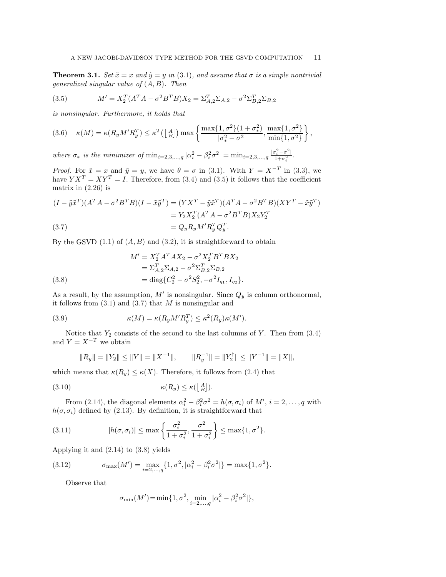**Theorem 3.1.** *Set*  $\tilde{x} = x$  *and*  $\tilde{y} = y$  *in* [\(3.1\)](#page-9-2)*, and assume that*  $\sigma$  *is a simple nontrivial generalized singular value of* (A, B)*. Then*

<span id="page-10-4"></span><span id="page-10-0"></span>(3.5) 
$$
M' = X_2^T (A^T A - \sigma^2 B^T B) X_2 = \Sigma_{A,2}^T \Sigma_{A,2} - \sigma^2 \Sigma_{B,2}^T \Sigma_{B,2}
$$

*is nonsingular. Furthermore, it holds that*

$$
(3.6) \quad \kappa(M) = \kappa(R_y M' R_y^T) \le \kappa^2 \left( \left[ \begin{array}{c} A \\ B \end{array} \right] \right) \max \left\{ \frac{\max\{1, \sigma^2\} (1 + \sigma_*^2)}{|\sigma_*^2 - \sigma^2|}, \frac{\max\{1, \sigma^2\}}{\min\{1, \sigma^2\}} \right\},
$$

*where*  $\sigma_*$  *is the minimizer of*  $\min_{i=2,3,\dots,q} |\alpha_i^2 - \beta_i^2 \sigma^2| = \min_{i=2,3,\dots,q} \frac{|\sigma_i^2 - \sigma^2|}{1 + \sigma_i^2}$ .

*Proof.* For  $\tilde{x} = x$  and  $\tilde{y} = y$ , we have  $\theta = \sigma$  in [\(3.1\)](#page-9-2). With  $Y = X^{-T}$  in [\(3.3\)](#page-9-1), we have  $Y X^T = X Y^T = I$ . Therefore, from [\(3.4\)](#page-9-3) and [\(3.5\)](#page-10-0) it follows that the coefficient matrix in  $(2.26)$  is

$$
(I - \tilde{y}\tilde{x}^{T})(A^{T}A - \sigma^{2}B^{T}B)(I - \tilde{x}\tilde{y}^{T}) = (YX^{T} - \tilde{y}\tilde{x}^{T})(A^{T}A - \sigma^{2}B^{T}B)(XY^{T} - \tilde{x}\tilde{y}^{T})
$$
  
=  $Y_{2}X_{2}^{T}(A^{T}A - \sigma^{2}B^{T}B)X_{2}Y_{2}^{T}$   
(3.7)  
=  $Q_{y}R_{y}M'R_{y}^{T}Q_{y}^{T}$ .

<span id="page-10-1"></span>By the GSVD  $(1.1)$  of  $(A, B)$  and  $(3.2)$ , it is straightforward to obtain

<span id="page-10-2"></span>(3.8)  
\n
$$
M' = X_2^T A^T A X_2 - \sigma^2 X_2^T B^T B X_2
$$
\n
$$
= \Sigma_{A,2}^T \Sigma_{A,2} - \sigma^2 \Sigma_{B,2}^T \Sigma_{B,2}
$$
\n
$$
= \text{diag}\{C_2^2 - \sigma^2 S_2^2, -\sigma^2 I_{q_1}, I_{q_2}\}.
$$

As a result, by the assumption,  $M'$  is nonsingular. Since  $Q_y$  is column orthonormal, it follows from  $(3.1)$  and  $(3.7)$  that M is nonsingular and

(3.9) 
$$
\kappa(M) = \kappa(R_y M' R_y^T) \leq \kappa^2(R_y) \kappa(M').
$$

Notice that  $Y_2$  consists of the second to the last columns of Y. Then from  $(3.4)$ and  $Y = X^{-T}$  we obtain

<span id="page-10-6"></span><span id="page-10-5"></span>
$$
||R_y|| = ||Y_2|| \le ||Y|| = ||X^{-1}||, \qquad ||R_y^{-1}|| = ||Y_2^{\dagger}|| \le ||Y^{-1}|| = ||X||,
$$

which means that  $\kappa(R_y) \leq \kappa(X)$ . Therefore, it follows from [\(2.4\)](#page-4-2) that

(3.10) 
$$
\kappa(R_y) \leq \kappa\left(\begin{bmatrix} A \\ B \end{bmatrix}\right).
$$

From [\(2.14\)](#page-5-2), the diagonal elements  $\alpha_i^2 - \beta_i^2 \sigma^2 = h(\sigma, \sigma_i)$  of  $M', i = 2, \ldots, q$  with  $h(\sigma, \sigma_i)$  defined by [\(2.13\)](#page-5-3). By definition, it is straightforward that

(3.11) 
$$
|h(\sigma, \sigma_i)| \leq \max\left\{\frac{\sigma_i^2}{1 + \sigma_i^2}, \frac{\sigma^2}{1 + \sigma_i^2}\right\} \leq \max\{1, \sigma^2\}.
$$

Applying it and [\(2.14\)](#page-5-2) to [\(3.8\)](#page-10-2) yields

(3.12) 
$$
\sigma_{\max}(M') = \max_{i=2,\dots,q} \{1, \sigma^2, |\alpha_i^2 - \beta_i^2 \sigma^2|\} = \max\{1, \sigma^2\}.
$$

Observe that

<span id="page-10-3"></span>
$$
\sigma_{\min}(M') = \min\{1, \sigma^2, \min_{i=2,\dots,q} |\alpha_i^2 - \beta_i^2 \sigma^2|\},
$$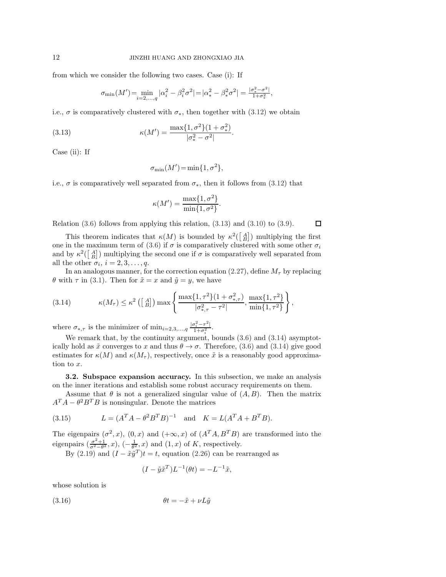from which we consider the following two cases. Case (i): If

$$
\sigma_{\min}(M') = \min_{i=2,\dots,q} |\alpha_i^2 - \beta_i^2 \sigma^2| = |\alpha_*^2 - \beta_*^2 \sigma^2| = \frac{|\sigma_*^2 - \sigma^2|}{1 + \sigma_*^2},
$$

i.e.,  $\sigma$  is comparatively clustered with  $\sigma_*$ , then together with [\(3.12\)](#page-10-3) we obtain

(3.13) 
$$
\kappa(M') = \frac{\max\{1, \sigma^2\}(1 + \sigma_*^2)}{|\sigma_*^2 - \sigma^2|}.
$$

Case (ii): If

$$
\sigma_{\min}(M') = \min\{1, \sigma^2\},\
$$

i.e.,  $\sigma$  is comparatively well separated from  $\sigma_*$ , then it follows from [\(3.12\)](#page-10-3) that

$$
\kappa(M') = \frac{\max\{1, \sigma^2\}}{\min\{1, \sigma^2\}}.
$$

Relation [\(3.6\)](#page-10-4) follows from applying this relation, [\(3.13\)](#page-11-0) and [\(3.10\)](#page-10-5) to [\(3.9\)](#page-10-6).

This theorem indicates that  $\kappa(M)$  is bounded by  $\kappa^2(\begin{bmatrix} A \\ B \end{bmatrix})$  multiplying the first one in the maximum term of [\(3.6\)](#page-10-4) if  $\sigma$  is comparatively clustered with some other  $\sigma_i$ and by  $\kappa^2\begin{pmatrix} A \\ B \end{pmatrix}$  multiplying the second one if  $\sigma$  is comparatively well separated from all the other  $\sigma_i$ ,  $i = 2, 3, \ldots, q$ .

In an analogous manner, for the correction equation [\(2.27\)](#page-8-3), define  $M_{\tau}$  by replacing θ with τ in [\(3.1\)](#page-9-2). Then for  $\tilde{x} = x$  and  $\tilde{y} = y$ , we have

(3.14) 
$$
\kappa(M_{\tau}) \leq \kappa^2 \left( \begin{bmatrix} A \\ B \end{bmatrix} \right) \max \left\{ \frac{\max\{1, \tau^2\} (1 + \sigma_{*,\tau}^2)}{|\sigma_{*,\tau}^2 - \tau^2|}, \frac{\max\{1, \tau^2\}}{\min\{1, \tau^2\}} \right\},
$$

where  $\sigma_{*,\tau}$  is the minimizer of  $\min_{i=2,3,\dots,q} \frac{|\sigma_i^2 - \tau^2|}{1 + \sigma_i^2}$ .

We remark that, by the continuity argument, bounds [\(3.6\)](#page-10-4) and [\(3.14\)](#page-11-1) asymptotically hold as  $\tilde{x}$  converges to x and thus  $\theta \to \sigma$ . Therefore, [\(3.6\)](#page-10-4) and [\(3.14\)](#page-11-1) give good estimates for  $\kappa(M)$  and  $\kappa(M_{\tau})$ , respectively, once  $\tilde{x}$  is a reasonably good approximation to x.

<span id="page-11-4"></span>3.2. Subspace expansion accuracy. In this subsection, we make an analysis on the inner iterations and establish some robust accuracy requirements on them.

Assume that  $\theta$  is not a generalized singular value of  $(A, B)$ . Then the matrix  $A^T A - \theta^2 B^T B$  is nonsingular. Denote the matrices

(3.15) 
$$
L = (A^T A - \theta^2 B^T B)^{-1} \text{ and } K = L(A^T A + B^T B).
$$

The eigenpairs  $(\sigma^2, x)$ ,  $(0, x)$  and  $(+\infty, x)$  of  $(A^T A, B^T B)$  are transformed into the eigenpairs  $\left(\frac{\sigma^2+1}{\sigma^2-\theta^2}\right)$  $\frac{\sigma^2+1}{\sigma^2-\theta^2}$ , x),  $\left(-\frac{1}{\theta^2}$ , x) and  $(1, x)$  of K, respectively.

By [\(2.19\)](#page-6-3) and  $(I - \tilde{x}\tilde{y}^T)t = t$ , equation [\(2.26\)](#page-8-2) can be rearranged as

<span id="page-11-3"></span><span id="page-11-2"></span>
$$
(I - \tilde{y}\tilde{x}^T)L^{-1}(\theta t) = -L^{-1}\tilde{x},
$$

whose solution is

$$
\theta t = -\tilde{x} + \nu L \tilde{y}
$$

<span id="page-11-1"></span><span id="page-11-0"></span> $\Box$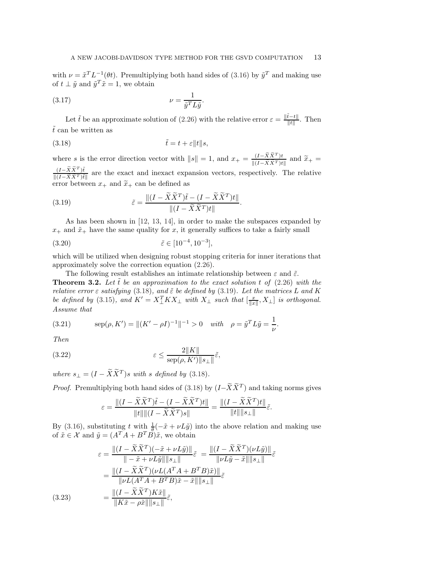<span id="page-12-2"></span>with  $\nu = \tilde{x}^T L^{-1}(\theta t)$ . Premultiplying both hand sides of [\(3.16\)](#page-11-2) by  $\tilde{y}^T$  and making use of  $t \perp \tilde{y}$  and  $\tilde{y}^T \tilde{x} = 1$ , we obtain

$$
\nu = \frac{1}{\tilde{y}^T L \tilde{y}}.
$$

Let  $\tilde{t}$  be an approximate solution of [\(2.26\)](#page-8-2) with the relative error  $\varepsilon = \frac{\|\tilde{t}-t\|}{\|t\|}$  $\frac{t-t\|}{\|t\|}$ . Then  $\tilde{t}$  can be written as

<span id="page-12-0"></span>
$$
(3.18)\qquad \qquad \tilde{t} = t + \varepsilon \|t\|s,
$$

where s is the error direction vector with  $||s|| = 1$ , and  $x_+ = \frac{(I - \tilde{X}\tilde{X}^T)t}{\|(I - \tilde{X}\tilde{X}^T)t\|}$  $\frac{(I-\overline{X}X)^t}{\|(I-\widetilde{X}\widetilde{X}^T)t\|}$  and  $\widetilde{x}_+$  =  $(I-\widetilde{X}\widetilde{X}^T)\widetilde{t}$  $\frac{(1-\lambda)\lambda}{\|(1-\tilde{X}\tilde{X}^T)\tilde{t}\|}$  are the exact and inexact expansion vectors, respectively. The relative error between  $x_+$  and  $\widetilde{x}_+$  can be defined as

(3.19) 
$$
\tilde{\varepsilon} = \frac{\| (I - \tilde{X}\tilde{X}^T)\tilde{t} - (I - \tilde{X}\tilde{X}^T)t \|}{\| (I - \tilde{X}\tilde{X}^T)t \|}
$$

As has been shown in [\[12,](#page-24-21) [13,](#page-24-22) [14\]](#page-24-23), in order to make the subspaces expanded by  $x_+$  and  $\tilde{x}_+$  have the same quality for x, it generally suffices to take a fairly small

<span id="page-12-6"></span><span id="page-12-1"></span>.

(3.20) 
$$
\tilde{\varepsilon} \in [10^{-4}, 10^{-3}],
$$

which will be utilized when designing robust stopping criteria for inner iterations that approximately solve the correction equation [\(2.26\)](#page-8-2).

<span id="page-12-5"></span>The following result establishes an intimate relationship between  $\varepsilon$  and  $\tilde{\varepsilon}$ . **Theorem 3.2.** Let  $\tilde{t}$  be an approximation to the exact solution t of  $(2.26)$  with the *relative error*  $\varepsilon$  *satisfying* [\(3.18\)](#page-12-0)*, and*  $\tilde{\varepsilon}$  *be defined by* [\(3.19\)](#page-12-1)*. Let the matrices* L *and* K *be defined by* [\(3.15\)](#page-11-3), and  $K' = X_{\perp}^T K X_{\perp}$  *with*  $X_{\perp}$  *such that*  $\left[\frac{x}{\|x\|}, X_{\perp}\right]$  *is orthogonal. Assume that*

(3.21) 
$$
\text{sep}(\rho, K') = ||(K' - \rho I)^{-1}||^{-1} > 0 \quad \text{with} \quad \rho = \tilde{y}^T L \tilde{y} = \frac{1}{\nu}.
$$

<span id="page-12-3"></span>*Then*

$$
\varepsilon \le \frac{2\|K\|}{\operatorname{sep}(\rho, K')\|s_\perp\|} \tilde{\varepsilon},
$$

*where*  $s_{\perp} = (I - \tilde{X}\tilde{X}^T)s$  *with* s *defined by* [\(3.18\)](#page-12-0).

*Proof.* Premultiplying both hand sides of [\(3.18\)](#page-12-0) by  $(I - \tilde{X} \tilde{X}^T)$  and taking norms gives

$$
\varepsilon = \frac{\|(I - \widetilde{X} \widetilde{X}^T)\widetilde{t} - (I - \widetilde{X} \widetilde{X}^T)t\|}{\|t\| \|(I - \widetilde{X} \widetilde{X}^T)s\|} = \frac{\|(I - \widetilde{X} \widetilde{X}^T)t\|}{\|t\| \|s_{\perp}\|} \widetilde{\varepsilon}.
$$

By [\(3.16\)](#page-11-2), substituting t with  $\frac{1}{\ell}(-\tilde{x}+\nu L\tilde{y})$  into the above relation and making use of  $\tilde{x} \in \mathcal{X}$  and  $\tilde{y} = (A^T A + B^T B)\tilde{x}$ , we obtain

<span id="page-12-4"></span>
$$
\varepsilon = \frac{\|(I - \tilde{X}\tilde{X}^T)(-\tilde{x} + \nu L\tilde{y})\|}{\| - \tilde{x} + \nu L\tilde{y}\| \|s_{\perp}\|} \tilde{\varepsilon} = \frac{\|(I - \tilde{X}\tilde{X}^T)(\nu L\tilde{y})\|}{\|\nu L\tilde{y} - \tilde{x}\| \|s_{\perp}\|} \tilde{\varepsilon}
$$

$$
= \frac{\|(I - \tilde{X}\tilde{X}^T)(\nu L(A^T A + B^T B)\tilde{x})\|}{\|\nu L(A^T A + B^T B)\tilde{x} - \tilde{x}\| \|s_{\perp}\|} \tilde{\varepsilon}
$$
(3.23)
$$
= \frac{\|(I - \tilde{X}\tilde{X}^T)K\tilde{x}\|}{\|K\tilde{x} - \rho \tilde{x}\| \|s_{\perp}\|} \tilde{\varepsilon},
$$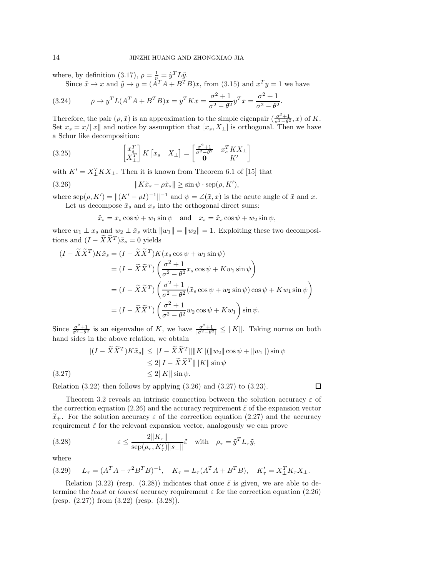where, by definition [\(3.17\)](#page-12-2),  $\rho = \frac{1}{\nu_{\pi}} = \tilde{y}^T L \tilde{y}$ .

<span id="page-13-4"></span>Since  $\tilde{x} \to x$  and  $\tilde{y} \to y = (\tilde{A}^T A + B^T B)x$ , from [\(3.15\)](#page-11-3) and  $x^T y = 1$  we have

(3.24) 
$$
\rho \to y^T L(A^T A + B^T B) x = y^T K x = \frac{\sigma^2 + 1}{\sigma^2 - \theta^2} y^T x = \frac{\sigma^2 + 1}{\sigma^2 - \theta^2}.
$$

Therefore, the pair  $(\rho, \tilde{x})$  is an approximation to the simple eigenpair  $\left(\frac{\sigma^2+1}{\sigma^2-\theta^2}\right)$  $\frac{\sigma^2+1}{\sigma^2-\theta^2}$ , x) of K. Set  $x_s = x/||x||$  and notice by assumption that  $[x_s, X_\perp]$  is orthogonal. Then we have a Schur like decomposition:

<span id="page-13-3"></span>(3.25) 
$$
\begin{bmatrix} x_s^T \\ X_\perp^T \end{bmatrix} K \begin{bmatrix} x_s & X_\perp \end{bmatrix} = \begin{bmatrix} \frac{\sigma^2 + 1}{\sigma^2 - \theta^2} & x_s^T K X_\perp \\ \mathbf{0} & K' \end{bmatrix}
$$

with  $K' = X_{\perp}^T K X_{\perp}$ . Then it is known from Theorem 6.1 of [\[15\]](#page-24-24) that

(3.26) 
$$
||K\tilde{x}_s - \rho \tilde{x}_s|| \ge \sin \psi \cdot \text{sep}(\rho, K'),
$$

where  $\text{sep}(\rho, K') = ||(K' - \rho I)^{-1}||^{-1}$  and  $\psi = \angle(\tilde{x}, x)$  is the acute angle of  $\tilde{x}$  and x. Let us decompose  $\tilde{x}_s$  and  $x_s$  into the orthogonal direct sums:

<span id="page-13-0"></span>
$$
\tilde{x}_s = x_s \cos \psi + w_1 \sin \psi
$$
 and  $x_s = \tilde{x}_s \cos \psi + w_2 \sin \psi$ ,

where  $w_1 \perp x_s$  and  $w_2 \perp \tilde{x}_s$  with  $||w_1|| = ||w_2|| = 1$ . Exploiting these two decompositions and  $(I - \tilde{X}\tilde{X}^T)\tilde{x}_s = 0$  yields

$$
(I - \widetilde{X}\widetilde{X}^T)K\widetilde{x}_s = (I - \widetilde{X}\widetilde{X}^T)K(x_s\cos\psi + w_1\sin\psi)
$$
  
\n
$$
= (I - \widetilde{X}\widetilde{X}^T)\left(\frac{\sigma^2 + 1}{\sigma^2 - \theta^2}x_s\cos\psi + Kw_1\sin\psi\right)
$$
  
\n
$$
= (I - \widetilde{X}\widetilde{X}^T)\left(\frac{\sigma^2 + 1}{\sigma^2 - \theta^2}(\widetilde{x}_s\cos\psi + w_2\sin\psi)\cos\psi + Kw_1\sin\psi\right)
$$
  
\n
$$
= (I - \widetilde{X}\widetilde{X}^T)\left(\frac{\sigma^2 + 1}{\sigma^2 - \theta^2}w_2\cos\psi + Kw_1\right)\sin\psi.
$$

Since  $\frac{\sigma^2+1}{\sigma^2-\theta^2}$  $\frac{\sigma^2+1}{\sigma^2-\theta^2}$  is an eigenvalue of K, we have  $\frac{\sigma^2+1}{|\sigma^2-\theta^2|}$  $\frac{\sigma^2+1}{|\sigma^2-\theta^2|} \leq ||K||$ . Taking norms on both hand sides in the above relation, we obtain

<span id="page-13-1"></span>
$$
||(I - \widetilde{X}\widetilde{X}^T)K\widetilde{x}_s|| \le ||I - \widetilde{X}\widetilde{X}^T|| ||K|| (||w_2|| \cos \psi + ||w_1||) \sin \psi
$$
  
\n
$$
\le 2||I - \widetilde{X}\widetilde{X}^T|| ||K|| \sin \psi
$$
  
\n
$$
\le 2||K|| \sin \psi.
$$

Relation  $(3.22)$  then follows by applying  $(3.26)$  and  $(3.27)$  to  $(3.23)$ .

Theorem [3.2](#page-12-5) reveals an intrinsic connection between the solution accuracy  $\varepsilon$  of the correction equation [\(2.26\)](#page-8-2) and the accuracy requirement  $\tilde{\varepsilon}$  of the expansion vector  $\tilde{x}_+$ . For the solution accuracy  $\varepsilon$  of the correction equation [\(2.27\)](#page-8-3) and the accuracy requirement  $\tilde{\varepsilon}$  for the relevant expansion vector, analogously we can prove

(3.28) 
$$
\varepsilon \leq \frac{2\|K_{\tau}\|}{\operatorname{sep}(\rho_{\tau}, K'_{\tau})\|s_{\perp}\|} \tilde{\varepsilon} \quad \text{with} \quad \rho_{\tau} = \tilde{y}^{T} L_{\tau} \tilde{y},
$$

where

$$
(3.29) \tL_{\tau} = (A^T A - \tau^2 B^T B)^{-1}, \tK_{\tau} = L_{\tau} (A^T A + B^T B), \tK'_{\tau} = X_{\perp}^T K_{\tau} X_{\perp}.
$$

Relation [\(3.22\)](#page-12-3) (resp. [\(3.28\)](#page-13-2)) indicates that once  $\tilde{\varepsilon}$  is given, we are able to determine the *least* or *lowest* accuracy requirement  $\varepsilon$  for the correction equation [\(2.26\)](#page-8-2) (resp. [\(2.27\)](#page-8-3)) from [\(3.22\)](#page-12-3) (resp. [\(3.28\)](#page-13-2)).

<span id="page-13-2"></span> $\Box$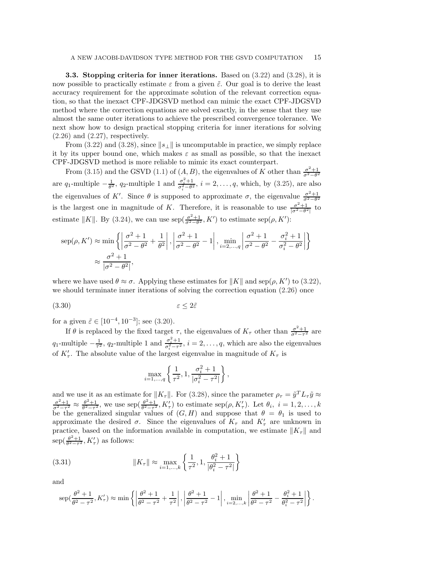<span id="page-14-1"></span>**3.3. Stopping criteria for inner iterations.** Based on  $(3.22)$  and  $(3.28)$ , it is now possible to practically estimate  $\varepsilon$  from a given  $\tilde{\varepsilon}$ . Our goal is to derive the least accuracy requirement for the approximate solution of the relevant correction equation, so that the inexact CPF-JDGSVD method can mimic the exact CPF-JDGSVD method where the correction equations are solved exactly, in the sense that they use almost the same outer iterations to achieve the prescribed convergence tolerance. We next show how to design practical stopping criteria for inner iterations for solving  $(2.26)$  and  $(2.27)$ , respectively.

From [\(3.22\)](#page-12-3) and [\(3.28\)](#page-13-2), since  $||s_\perp||$  is uncomputable in practice, we simply replace it by its upper bound one, which makes  $\varepsilon$  as small as possible, so that the inexact CPF-JDGSVD method is more reliable to mimic its exact counterpart.

From [\(3.15\)](#page-11-3) and the GSVD [\(1.1\)](#page-0-0) of  $(A, B)$ , the eigenvalues of K other than  $\frac{\sigma^2+1}{\sigma^2-\theta^2}$  $\sigma^2-\theta^2$ are  $q_1$ -multiple  $-\frac{1}{\theta^2}$ ,  $q_2$ -multiple 1 and  $\frac{\sigma_i^2+1}{\sigma_i^2-\theta^2}$ ,  $i=2,\ldots,q$ , which, by [\(3.25\)](#page-13-3), are also the eigenvalues of K'. Since  $\theta$  is supposed to approximate  $\sigma$ , the eigenvalue  $\frac{\sigma^2+1}{\sigma^2-\theta^2}$  $\sigma^2-\theta^2$ is the largest one in magnitude of K. Therefore, it is reasonable to use  $\frac{\sigma^2+1}{\sigma^2-\theta^2}$  $\frac{\sigma^2+1}{|\sigma^2-\theta^2|}$  to estimate  $||K||$ . By [\(3.24\)](#page-13-4), we can use sep( $\frac{\sigma^2+1}{\sigma^2-\theta^2}$  $\frac{\sigma^2+1}{\sigma^2-\theta^2}, K'$  to estimate sep $(\rho, K')$ :

$$
\text{sep}(\rho, K') \approx \min\left\{ \left| \frac{\sigma^2 + 1}{\sigma^2 - \theta^2} + \frac{1}{\theta^2} \right|, \left| \frac{\sigma^2 + 1}{\sigma^2 - \theta^2} - 1 \right|, \min_{i=2,\dots,q} \left| \frac{\sigma^2 + 1}{\sigma^2 - \theta^2} - \frac{\sigma_i^2 + 1}{\sigma_i^2 - \theta^2} \right| \right\}
$$

$$
\approx \frac{\sigma^2 + 1}{|\sigma^2 - \theta^2|},
$$

where we have used  $\theta \approx \sigma$ . Applying these estimates for  $||K||$  and sep( $\rho$ , K') to [\(3.22\)](#page-12-3), we should terminate inner iterations of solving the correction equation [\(2.26\)](#page-8-2) once

$$
\varepsilon \le 2\tilde{\varepsilon}
$$

for a given  $\tilde{\varepsilon} \in [10^{-4}, 10^{-3}]$ ; see [\(3.20\)](#page-12-6).

If  $\theta$  is replaced by the fixed target  $\tau$ , the eigenvalues of  $K_{\tau}$  other than  $\frac{\sigma^2+1}{\sigma^2-\tau^2}$  $\frac{\sigma^2+1}{\sigma^2-\tau^2}$  are q<sub>1</sub>-multiple  $-\frac{1}{\tau^2}$ , q<sub>2</sub>-multiple 1 and  $\frac{\sigma_i^2+1}{\sigma_i^2-\tau^2}$ ,  $i=2,\ldots,q$ , which are also the eigenvalues of  $K'_{\tau}$ . The absolute value of the largest eigenvalue in magnitude of  $K_{\tau}$  is

<span id="page-14-0"></span>
$$
\max_{i=1,...,q}\left\{\frac{1}{\tau^2},1,\frac{\sigma_i^2+1}{|\sigma_i^2-\tau^2|}\right\}
$$

,

and we use it as an estimate for  $||K_{\tau}||$ . For [\(3.28\)](#page-13-2), since the parameter  $\rho_{\tau} = \tilde{y}^{T} L_{\tau} \tilde{y} \approx \frac{\sigma^2 + 1}{\sigma^2 + 1} \approx \frac{\theta^2 + 1}{\sigma^2 + 1}$  we use sen $(\frac{\theta^2 + 1}{\sigma^2 + 1} K')$  to estimate sen(a  $K')$ ) Let  $\theta_{\tau} = 1, 2,$  $\frac{\sigma^2+1}{\sigma^2-\tau^2} \approx \frac{\theta^2+1}{\theta^2-\tau^2}$ , we use sep $\left(\frac{\theta^2+1}{\theta^2-\tau^2}, K'_\tau\right)$  to estimate sep $(\rho, K'_\tau)$ . Let  $\theta_i$ ,  $i=1,2,\ldots,k$ be the generalized singular values of  $(G, H)$  and suppose that  $\theta = \theta_1$  is used to approximate the desired  $\sigma$ . Since the eigenvalues of  $K_{\tau}$  and  $K'_{\tau}$  are unknown in practice, based on the information available in computation, we estimate  $||K_{\tau}||$  and  $\operatorname{sep}(\frac{\theta^2+1}{\theta^2-\tau^2},K_{\tau}')$  as follows:

(3.31) 
$$
||K_{\tau}|| \approx \max_{i=1,...,k} \left\{ \frac{1}{\tau^2}, 1, \frac{\theta_i^2 + 1}{|\theta_i^2 - \tau^2|} \right\}
$$

and

$$
\exp\left(\frac{\theta^2+1}{\theta^2-\tau^2}, K_{\tau}'\right) \approx \min\left\{ \left| \frac{\theta^2+1}{\theta^2-\tau^2} + \frac{1}{\tau^2} \right|, \left| \frac{\theta^2+1}{\theta^2-\tau^2} - 1 \right|, \min_{i=2,\dots,k} \left| \frac{\theta^2+1}{\theta^2-\tau^2} - \frac{\theta_i^2+1}{\theta_i^2-\tau^2} \right| \right\}.
$$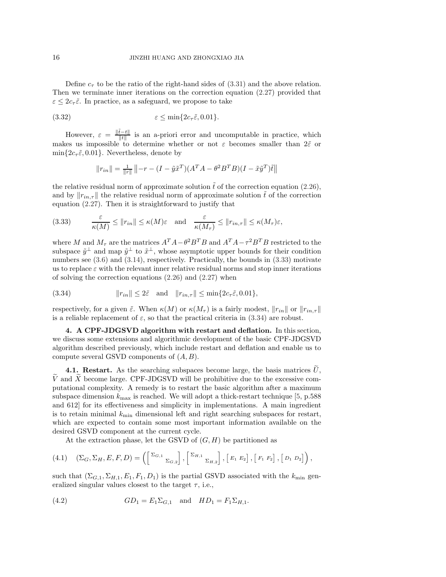Define  $c_{\tau}$  to be the ratio of the right-hand sides of [\(3.31\)](#page-14-0) and the above relation. Then we terminate inner iterations on the correction equation [\(2.27\)](#page-8-3) provided that  $\varepsilon \leq 2c_{\tau} \tilde{\varepsilon}$ . In practice, as a safeguard, we propose to take

$$
(3.32) \t\t\t\t \varepsilon \le \min\{2c_\tau \tilde{\varepsilon}, 0.01\}.
$$

However,  $\varepsilon = \frac{\|\tilde{t}-t\|}{\|t\|}$  $\frac{t-t_{\parallel}}{\Vert t \Vert}$  is an a-priori error and uncomputable in practice, which makes us impossible to determine whether or not  $\varepsilon$  becomes smaller than  $2\tilde{\varepsilon}$  or  $\min\{2c_{\tau}\tilde{\varepsilon},0.01\}$ . Nevertheless, denote by

<span id="page-15-2"></span><span id="page-15-1"></span>
$$
||r_{in}|| = \frac{1}{||r||} ||-r - (I - \tilde{y}\tilde{x}^{T})(A^{T}A - \theta^{2}B^{T}B)(I - \tilde{x}\tilde{y}^{T})\tilde{t}||
$$

the relative residual norm of approximate solution  $\tilde{t}$  of the correction equation [\(2.26\)](#page-8-2), and by  $||r_{in,\tau}||$  the relative residual norm of approximate solution t of the correction equation [\(2.27\)](#page-8-3). Then it is straightforward to justify that

(3.33) 
$$
\frac{\varepsilon}{\kappa(M)} \le ||r_{in}|| \le \kappa(M)\varepsilon \text{ and } \frac{\varepsilon}{\kappa(M_{\tau})} \le ||r_{in,\tau}|| \le \kappa(M_{\tau})\varepsilon,
$$

where M and  $M_{\tau}$  are the matrices  $A^T A - \theta^2 B^T B$  and  $A^T A - \tau^2 B^T B$  restricted to the subspace  $\tilde{y}^{\perp}$  and map  $\tilde{y}^{\perp}$  to  $\tilde{x}^{\perp}$ , whose asymptotic upper bounds for their condition numbers see  $(3.6)$  and  $(3.14)$ , respectively. Practically, the bounds in  $(3.33)$  motivate us to replace  $\varepsilon$  with the relevant inner relative residual norms and stop inner iterations of solving the correction equations [\(2.26\)](#page-8-2) and [\(2.27\)](#page-8-3) when

(3.34) 
$$
||r_{in}|| \leq 2\tilde{\varepsilon} \text{ and } ||r_{in,\tau}|| \leq \min\{2c_{\tau}\tilde{\varepsilon}, 0.01\},
$$

respectively, for a given  $\tilde{\varepsilon}$ . When  $\kappa(M)$  or  $\kappa(M_{\tau})$  is a fairly modest,  $\|r_{in}\|$  or  $\|r_{in,\tau}\|$ is a reliable replacement of  $\varepsilon$ , so that the practical criteria in [\(3.34\)](#page-15-2) are robust.

<span id="page-15-0"></span>4. A CPF-JDGSVD algorithm with restart and deflation. In this section, we discuss some extensions and algorithmic development of the basic CPF-JDGSVD algorithm described previously, which include restart and deflation and enable us to compute several GSVD components of  $(A, B)$ .

4.1. Restart. As the searching subspaces become large, the basis matrices  $\hat{U}$ , V and X become large. CPF-JDGSVD will be prohibitive due to the excessive computational complexity. A remedy is to restart the basic algorithm after a maximum subspace dimension  $k_{\text{max}}$  is reached. We will adopt a thick-restart technique [\[5,](#page-24-2) p.588] and 612] for its effectiveness and simplicity in implementations. A main ingredient is to retain minimal  $k_{\text{min}}$  dimensional left and right searching subspaces for restart, which are expected to contain some most important information available on the desired GSVD component at the current cycle.

<span id="page-15-4"></span><span id="page-15-3"></span>At the extraction phase, let the GSVD of  $(G, H)$  be partitioned as

$$
(4.1) \quad (\Sigma_G, \Sigma_H, E, F, D) = \left( \begin{bmatrix} \Sigma_{G,1} & \ & \Sigma_{G,2} \end{bmatrix}, \begin{bmatrix} \Sigma_{H,1} & \ & \Sigma_{H,2} \end{bmatrix}, \begin{bmatrix} E_1 & E_2 \end{bmatrix}, \begin{bmatrix} F_1 & F_2 \end{bmatrix}, \begin{bmatrix} D_1 & D_2 \end{bmatrix} \right),
$$

such that  $(\Sigma_{G,1}, \Sigma_{H,1}, E_1, F_1, D_1)$  is the partial GSVD associated with the  $k_{\min}$  generalized singular values closest to the target  $\tau$ , i.e.,

(4.2) 
$$
GD_1 = E_1 \Sigma_{G,1} \text{ and } HD_1 = F_1 \Sigma_{H,1}.
$$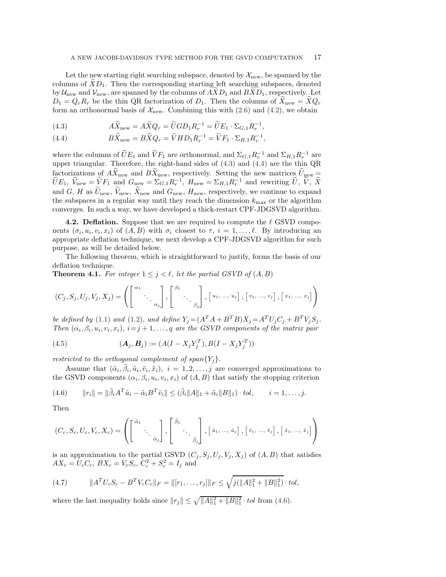Let the new starting right searching subspace, denoted by  $\mathcal{X}_{\text{new}}$ , be spanned by the columns of  $XD_1$ . Then the corresponding starting left searching subspaces, denoted by  $\mathcal{U}_{\text{new}}$  and  $\mathcal{V}_{\text{new}}$ , are spanned by the columns of  $AND_1$  and  $BXD_1$ , respectively. Let  $D_1 = Q_r R_r$  be the thin QR factorization of  $D_1$ . Then the columns of  $X_{\text{new}} = X Q_r$ form an orthonormal basis of  $\mathcal{X}_{\text{new}}$ . Combining this with [\(2.6\)](#page-4-1) and [\(4.2\)](#page-15-3), we obtain

<span id="page-16-0"></span>(4.3) 
$$
A\widetilde{X}_{\text{new}} = A\widetilde{X}Q_r = \widetilde{U}GD_1R_r^{-1} = \widetilde{U}E_1 \cdot \Sigma_{G,1}R_r^{-1},
$$

(4.4) 
$$
B\widetilde{X}_{\text{new}} = B\widetilde{X}Q_r = \widetilde{V}HD_1R_r^{-1} = \widetilde{V}F_1 \cdot \Sigma_{H,1}R_r^{-1},
$$

where the columns of  $UE_1$  and  $VF_1$  are orthonormal, and  $\Sigma_{G,1}R_r^{-1}$  and  $\Sigma_{H,1}R_r^{-1}$  are upper triangular. Therefore, the right-hand sides of [\(4.3\)](#page-16-0) and [\(4.4\)](#page-16-0) are the thin QR factorizations of  $AX_{\text{new}}$  and  $BX_{\text{new}}$ , respectively. Setting the new matrices  $U_{\text{new}} =$  $\widetilde{U}E_1, \ \widetilde{V}_{\text{new}} = \widetilde{V}F_1 \ \text{and} \ G_{\text{new}} = \Sigma_{G,1}R_r^{-1}, \ H_{\text{new}} = \Sigma_{H,1}R_r^{-1} \ \text{and rewriting} \ \widetilde{U}, \ \widetilde{V}, \ \widetilde{X}$ and G, H as  $\tilde{U}_{\text{new}}$ ,  $\tilde{V}_{\text{new}}$ ,  $\tilde{X}_{\text{new}}$  and  $G_{\text{new}}$ ,  $H_{\text{new}}$ , respectively, we continue to expand the subspaces in a regular way until they reach the dimension  $k_{\text{max}}$  or the algorithm converges. In such a way, we have developed a thick-restart CPF-JDGSVD algorithm.

**4.2. Deflation.** Suppose that we are required to compute the  $\ell$  GSVD components  $(\sigma_i, u_i, v_i, x_i)$  of  $(A, B)$  with  $\sigma_i$  closest to  $\tau, i = 1, \ldots, \ell$ . By introducing an appropriate deflation technique, we next develop a CPF-JDGSVD algorithm for such purpose, as will be detailed below.

The following theorem, which is straightforward to justify, forms the basis of our deflation technique.

<span id="page-16-2"></span>**Theorem 4.1.** For integer  $1 \leq j \leq \ell$ , let the partial GSVD of  $(A, B)$ 

$$
(C_j, S_j, U_j, V_j, X_j) = \left( \begin{bmatrix} \alpha_1 & & \\ & \ddots & \\ & & \alpha_j \end{bmatrix}, \begin{bmatrix} \beta_1 & & \\ & \ddots & \\ & & \beta_j \end{bmatrix}, \begin{bmatrix} u_1, & \dots, & u_j \end{bmatrix}, \begin{bmatrix} v_1, & \dots, & v_j \end{bmatrix}, \begin{bmatrix} x_1, & \dots, & x_j \end{bmatrix} \right)
$$

*be defined by* [\(1.1\)](#page-0-0) *and* [\(1.2\)](#page-1-0)*, and define*  $Y_j = (A^T A + B^T B) X_j = A^T U_j C_j + B^T V_j S_j$ *. Then*  $(\alpha_i, \beta_i, u_i, v_i, x_i)$ ,  $i = j + 1, \ldots, q$  *are the GSVD components of the matrix pair* 

(4.5) 
$$
(\mathbf{A}_j, \mathbf{B}_j) := (A(I - X_j Y_j^T), B(I - X_j Y_j^T))
$$

*restricted to the orthogonal complement of span* ${Y_i}$ .

<span id="page-16-1"></span>Assume that  $(\tilde{\alpha}_i, \tilde{\beta}_i, \tilde{u}_i, \tilde{v}_i, \tilde{x}_i), i = 1, 2, \ldots, j$  are converged approximations to the GSVD components  $(\alpha_i, \beta_i, u_i, v_i, x_i)$  of  $(A, B)$  that satisfy the stopping criterion

$$
(4.6) \qquad ||r_i|| = ||\tilde{\beta}_i A^T \tilde{u}_i - \tilde{\alpha}_i B^T \tilde{v}_i|| \leq (\tilde{\beta}_i ||A||_1 + \tilde{\alpha}_i ||B||_1) \cdot tol, \qquad i = 1, \ldots, j.
$$

Then

$$
(C_c, S_c, U_c, V_c, X_c) = \left( \begin{bmatrix} \tilde{\alpha}_1 & & \\ & \ddots & \\ & & \tilde{\alpha}_j \end{bmatrix}, \begin{bmatrix} \tilde{\beta}_1 & & \\ & \ddots & \\ & & \tilde{\beta}_j \end{bmatrix}, \begin{bmatrix} \tilde{u}_1, \dots, \tilde{u}_j \end{bmatrix}, \begin{bmatrix} \tilde{v}_1, \dots, \tilde{v}_j \end{bmatrix}, \begin{bmatrix} \tilde{x}_1, \dots, \tilde{x}_j \end{bmatrix} \right)
$$

is an approximation to the partial GSVD  $(C_i, S_i, U_i, V_i, X_i)$  of  $(A, B)$  that satisfies  $AX_c = U_c C_c, BX_c = V_c S_c, C_c^2 + S_c^2 = I_j$  and

<span id="page-16-3"></span>(4.7) 
$$
||A^T U_c S_c - B^T V_c C_c||_F = ||[r_1, \dots, r_j]||_F \le \sqrt{j(||A||_1^2 + ||B||_1^2)} \cdot tol,
$$

where the last inequality holds since  $||r_j|| \leq \sqrt{||A||_1^2 + ||B||_1^2} \cdot tol$  from [\(4.6\)](#page-16-1).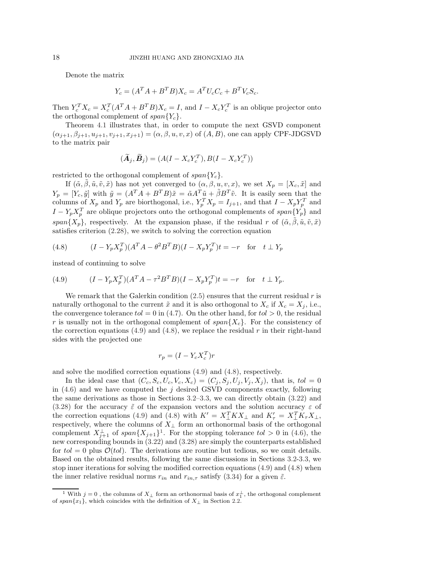Denote the matrix

$$
Y_c = (A^T A + B^T B) X_c = A^T U_c C_c + B^T V_c S_c.
$$

Then  $Y_c^T X_c = X_c^T (A^T A + B^T B) X_c = I$ , and  $I - X_c Y_c^T$  is an oblique projector onto the orthogonal complement of  $span\{Y_c\}$ .

Theorem [4.1](#page-16-2) illustrates that, in order to compute the next GSVD component  $(\alpha_{j+1}, \beta_{j+1}, u_{j+1}, v_{j+1}, x_{j+1}) = (\alpha, \beta, u, v, x)$  of  $(A, B)$ , one can apply CPF-JDGSVD to the matrix pair

<span id="page-17-1"></span>
$$
(\widetilde{\boldsymbol{A}}_j, \widetilde{\boldsymbol{B}}_j) = (A(I - X_c Y_c^T), B(I - X_c Y_c^T))
$$

restricted to the orthogonal complement of  $span\{Y_c\}$ .

If  $(\tilde{\alpha}, \beta, \tilde{u}, \tilde{v}, \tilde{x})$  has not yet converged to  $(\alpha, \beta, u, v, x)$ , we set  $X_p = [X_c, \tilde{x}]$  and  $Y_p = [Y_c, \tilde{y}]$  with  $\tilde{y} = (A^T A + B^T B)\tilde{x} = \tilde{\alpha} A^T \tilde{u} + \tilde{\beta} B^T \tilde{v}$ . It is easily seen that the columns of  $X_p$  and  $Y_p$  are biorthogonal, i.e.,  $Y_p^T X_p = I_{j+1}$ , and that  $I - X_p Y_p^T$  and  $I - Y_p X_p^T$  are oblique projectors onto the orthogonal complements of  $span\{Y_p\}$  and span $\{X_p\}$ , respectively. At the expansion phase, if the residual r of  $(\tilde{\alpha}, \beta, \tilde{u}, \tilde{v}, \tilde{x})$ satisfies criterion [\(2.28\)](#page-8-4), we switch to solving the correction equation

(4.8) 
$$
(I - Y_p X_p^T)(A^T A - \theta^2 B^T B)(I - X_p Y_p^T)t = -r \text{ for } t \perp Y_p
$$

instead of continuing to solve

(4.9) 
$$
(I - Y_p X_p^T)(A^T A - \tau^2 B^T B)(I - X_p Y_p^T)t = -r \text{ for } t \perp Y_p.
$$

We remark that the Galerkin condition  $(2.5)$  ensures that the current residual r is naturally orthogonal to the current  $\tilde{x}$  and it is also orthogonal to  $X_c$  if  $X_c = X_j$ , i.e., the convergence tolerance  $tol = 0$  in [\(4.7\)](#page-16-3). On the other hand, for  $tol > 0$ , the residual r is usually not in the orthogonal complement of  $span{X_c}$ . For the consistency of the correction equations [\(4.9\)](#page-17-0) and [\(4.8\)](#page-17-1), we replace the residual  $r$  in their right-hand sides with the projected one

<span id="page-17-0"></span>
$$
r_p = (I - Y_c X_c^T)r
$$

and solve the modified correction equations [\(4.9\)](#page-17-0) and [\(4.8\)](#page-17-1), respectively.

In the ideal case that  $(C_c, S_c, U_c, V_c, X_c) = (C_j, S_j, U_j, V_j, X_j)$ , that is,  $tol = 0$ in  $(4.6)$  and we have computed the j desired GSVD components exactly, following the same derivations as those in Sections [3.2](#page-11-4)[–3.3,](#page-14-1) we can directly obtain [\(3.22\)](#page-12-3) and [\(3.28\)](#page-13-2) for the accuracy  $\tilde{\varepsilon}$  of the expansion vectors and the solution accuracy  $\varepsilon$  of the correction equations [\(4.9\)](#page-17-0) and [\(4.8\)](#page-17-1) with  $K' = X_{\perp}^T K X_{\perp}$  and  $K'_{\tau} = X_{\perp}^T K_{\tau} X_{\perp}$ , respectively, where the columns of  $X_{\perp}$  form an orthonormal basis of the orthogonal complement  $X_{j+1}^{\perp}$  $X_{j+1}^{\perp}$  $X_{j+1}^{\perp}$  of  $span\{X_{j+1}\}^{\perp}$ . For the stopping tolerance  $tol > 0$  in [\(4.6\)](#page-16-1), the new corresponding bounds in [\(3.22\)](#page-12-3) and [\(3.28\)](#page-13-2) are simply the counterparts established for  $tol = 0$  plus  $\mathcal{O}(tol)$ . The derivations are routine but tedious, so we omit details. Based on the obtained results, following the same discussions in Sections [3.2-](#page-11-4)[3.3,](#page-14-1) we stop inner iterations for solving the modified correction equations [\(4.9\)](#page-17-0) and [\(4.8\)](#page-17-1) when the inner relative residual norms  $r_{in}$  and  $r_{in,\tau}$  satisfy [\(3.34\)](#page-15-2) for a given  $\tilde{\varepsilon}$ .

<span id="page-17-2"></span><sup>&</sup>lt;sup>1</sup> With  $j = 0$ , the columns of  $X_{\perp}$  form an orthonormal basis of  $x_{1}^{\perp}$ , the orthogonal complement of span ${x_1}$ , which coincides with the definition of  $X_\perp$  in Section [2.2.](#page-7-3)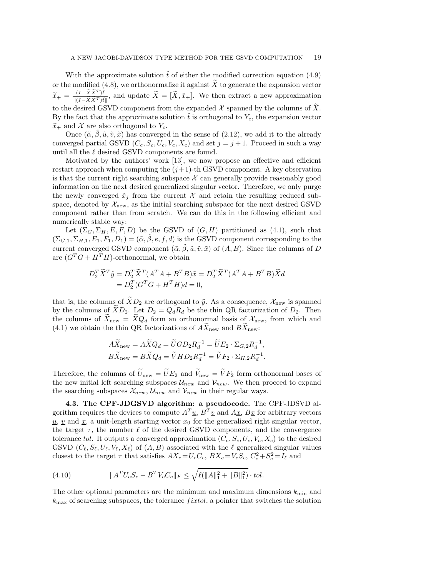With the approximate solution  $\tilde{t}$  of either the modified correction equation [\(4.9\)](#page-17-0) or the modified [\(4.8\)](#page-17-1), we orthonormalize it against  $\widetilde{X}$  to generate the expansion vector  $\widetilde{x}_{+} = \frac{(I - \widetilde{X} \widetilde{X}^{T}) \widetilde{t}}{\|(I - \widetilde{X} \widetilde{X}^{T}) \widetilde{t}}$  $\frac{(1-\lambda)\lambda}{\|(1-\tilde{X}\tilde{X}^T)\tilde{t}\|}$ , and update  $X=[X,\tilde{x}_+]$ . We then extract a new approximation to the desired GSVD component from the expanded  $X$  spanned by the columns of  $\tilde{X}$ . By the fact that the approximate solution  $\hat{t}$  is orthogonal to  $Y_c$ , the expansion vector  $\widetilde{x}_+$  and X are also orthogonal to  $Y_c$ .

Once  $(\tilde{\alpha}, \beta, \tilde{u}, \tilde{v}, \tilde{x})$  has converged in the sense of [\(2.12\)](#page-5-7), we add it to the already converged partial GSVD  $(C_c, S_c, U_c, V_c, X_c)$  and set  $j = j + 1$ . Proceed in such a way until all the  $\ell$  desired GSVD components are found.

Motivated by the authors' work [\[13\]](#page-24-22), we now propose an effective and efficient restart approach when computing the  $(j+1)$ -th GSVD component. A key observation is that the current right searching subspace  $X$  can generally provide reasonably good information on the next desired generalized singular vector. Therefore, we only purge the newly converged  $\tilde{x}_i$  from the current X and retain the resulting reduced subspace, denoted by  $\mathcal{X}_{\text{new}}$ , as the initial searching subspace for the next desired GSVD component rather than from scratch. We can do this in the following efficient and numerically stable way:

Let  $(\Sigma_G, \Sigma_H, E, F, D)$  be the GSVD of  $(G, H)$  partitioned as  $(4.1)$ , such that  $(\Sigma_{G,1}, \Sigma_{H,1}, E_1, F_1, D_1) = (\tilde{\alpha}, \beta, e, f, d)$  is the GSVD component corresponding to the current converged GSVD component  $(\tilde{\alpha}, \tilde{\beta}, \tilde{u}, \tilde{v}, \tilde{x})$  of  $(A, B)$ . Since the columns of D are  $(G^T G + H^T H)$ -orthonormal, we obtain

$$
D_2^T \widetilde{X}^T \widetilde{y} = D_2^T \widetilde{X}^T (A^T A + B^T B) \widetilde{x} = D_2^T \widetilde{X}^T (A^T A + B^T B) \widetilde{X} d = D_2^T (G^T G + H^T H) d = 0,
$$

that is, the columns of  $\widetilde{X}D_2$  are orthogonal to  $\widetilde{y}$ . As a consequence,  $\mathcal{X}_{\text{new}}$  is spanned by the columns of  $\tilde{X}D_2$ . Let  $D_2 = Q_dR_d$  be the thin QR factorization of  $D_2$ . Then the columns of  $\tilde{X}_{\text{new}} = \tilde{X}Q_d$  form an orthonormal basis of  $\mathcal{X}_{\text{new}}$ , from which and [\(4.1\)](#page-15-4) we obtain the thin QR factorizations of  $AX_{\text{new}}$  and  $BX_{\text{new}}$ :

$$
A\widetilde{X}_{\text{new}} = A\widetilde{X}Q_d = \widetilde{U}GD_2R_d^{-1} = \widetilde{U}E_2 \cdot \Sigma_{G,2}R_d^{-1},
$$
  

$$
B\widetilde{X}_{\text{new}} = B\widetilde{X}Q_d = \widetilde{V}HD_2R_d^{-1} = \widetilde{V}F_2 \cdot \Sigma_{H,2}R_d^{-1}.
$$

Therefore, the columns of  $\tilde{U}_{\text{new}} = \tilde{U}E_2$  and  $\tilde{V}_{\text{new}} = \tilde{V}F_2$  form orthonormal bases of the new initial left searching subspaces  $\mathcal{U}_{new}$  and  $\mathcal{V}_{new}$ . We then proceed to expand the searching subspaces  $\mathcal{X}_{new}$ ,  $\mathcal{U}_{new}$  and  $\mathcal{V}_{new}$  in their regular ways.

<span id="page-18-0"></span>4.3. The CPF-JDGSVD algorithm: a pseudocode. The CPF-JDSVD algorithm requires the devices to compute  $A^T \underline{u}$ ,  $B^T \underline{v}$  and  $A \underline{x}$ ,  $B \underline{x}$  for arbitrary vectors  $\underline{u}$ ,  $\underline{v}$  and  $\underline{x}$ , a unit-length starting vector  $x_0$  for the generalized right singular vector, the target  $\tau$ , the number  $\ell$  of the desired GSVD components, and the convergence tolerance tol. It outputs a converged approximation  $(C_c, S_c, U_c, V_c, X_c)$  to the desired GSVD  $(C_{\ell}, S_{\ell}, U_{\ell}, V_{\ell}, X_{\ell})$  of  $(A, B)$  associated with the  $\ell$  generalized singular values closest to the target  $\tau$  that satisfies  $AX_c = U_c C_c$ ,  $BX_c = V_c S_c$ ,  $C_c^2 + S_c^2 = I_\ell$  and

(4.10) 
$$
||A^T U_c S_c - B^T V_c C_c||_F \le \sqrt{\ell(||A||_1^2 + ||B||_1^2)} \cdot tol.
$$

The other optional parameters are the minimum and maximum dimensions  $k_{\text{min}}$  and  $k_{\text{max}}$  of searching subspaces, the tolerance  $fixed$ , a pointer that switches the solution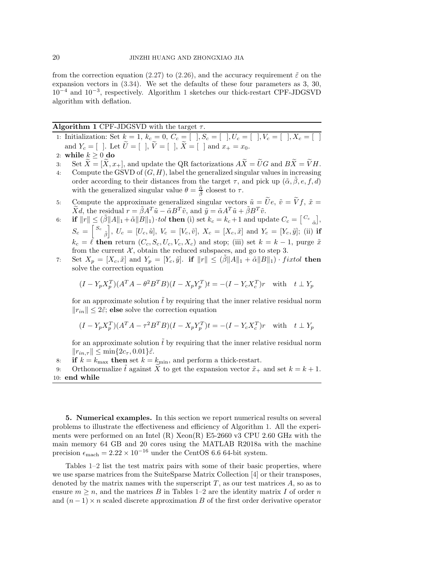from the correction equation [\(2.27\)](#page-8-3) to [\(2.26\)](#page-8-2), and the accuracy requirement  $\tilde{\varepsilon}$  on the expansion vectors in [\(3.34\)](#page-15-2). We set the defaults of these four parameters as 3, 30, 10−<sup>4</sup> and 10−<sup>3</sup> , respectively. Algorithm [1](#page-19-1) sketches our thick-restart CPF-JDGSVD algorithm with deflation.

<span id="page-19-1"></span>

|  |  | <b>Algorithm 1</b> CPF-JDGSVD with the target $\tau$ . |  |  |  |  |  |
|--|--|--------------------------------------------------------|--|--|--|--|--|
|--|--|--------------------------------------------------------|--|--|--|--|--|

- 1: Initialization: Set  $k = 1, k_c = 0, C_c = [$   $], S_c = [$   $], U_c = [$   $], V_c = [$   $], X_c = [$   $]$ and  $Y_c = [$  ]. Let  $\widetilde{U} = [$  ],  $\widetilde{V} = [$  ],  $\widetilde{X} = [$  ] and  $x_+ = x_0$ .
- 2: while  $k \ge 0$  do<br>3: Set  $\widetilde{X} = [\widetilde{X}, x]$
- 3: Set  $\widetilde{X} = [\widetilde{X}, x_+]$ , and update the QR factorizations  $A\widetilde{X} = \widetilde{U}G$  and  $B\widetilde{X} = \widetilde{V}H$ .<br>4: Compute the GSVD of  $(G, H)$ , label the generalized singular values in increasing
- Compute the GSVD of  $(G, H)$ , label the generalized singular values in increasing order according to their distances from the target  $\tau$ , and pick up  $(\tilde{\alpha}, \beta, e, f, d)$ with the generalized singular value  $\theta = \frac{\tilde{\alpha}}{\tilde{\beta}}$  closest to  $\tau$ .
- 5: Compute the approximate generalized singular vectors  $\tilde{u} = \tilde{U}e$ ,  $\tilde{v} = \tilde{V}f$ ,  $\tilde{x} =$  $\widetilde{X}d$ , the residual  $r = \widetilde{\beta}A^T\widetilde{u} - \widetilde{\alpha}B^T\widetilde{v}$ , and  $\widetilde{y} = \widetilde{\alpha}A^T\widetilde{u} + \widetilde{\beta}B^T\widetilde{v}$ .
- 6: **if**  $||r|| \leq (\tilde{\beta}||A||_1 + \tilde{\alpha}||B||_1) \cdot tol$  then (i) set  $k_c = k_c + 1$  and update  $C_c = \begin{bmatrix} C_c \\ \tilde{\alpha} \end{bmatrix}$ ,  $S_c = \left[\begin{smallmatrix} S_c \ \tilde{\beta} \end{smallmatrix}\right]$  $\bigg], U_c = [U_c, \tilde{u}], V_c = [V_c, \tilde{v}], X_c = [X_c, \tilde{x}] \text{ and } Y_c = [Y_c, \tilde{y}]; \text{ (ii) if}$  $k_c = \ell$  then return  $(C_c, S_c, U_c, V_c, X_c)$  and stop; (iii) set  $k = k - 1$ , purge  $\tilde{x}$ from the current  $\mathcal{X}$ , obtain the reduced subspaces, and go to step 3.
- 7: Set  $X_p = [X_c, \tilde{x}]$  and  $Y_p = [Y_c, \tilde{y}]$ . if  $||r|| \leq (\beta ||A||_1 + \tilde{\alpha} ||B||_1) \cdot fixed$  then solve the correction equation

$$
(I - Y_p X_p^T)(A^T A - \theta^2 B^T B)(I - X_p Y_p^T)t = -(I - Y_c X_c^T)r \quad \text{with} \quad t \perp Y_p
$$

for an approximate solution  $\tilde{t}$  by requiring that the inner relative residual norm  $||r_{in}|| \leq 2\tilde{\varepsilon}$ ; else solve the correction equation

$$
(I - Y_p X_p^T)(A^T A - \tau^2 B^T B)(I - X_p Y_p^T)t = -(I - Y_c X_c^T)r \text{ with } t \perp Y_p
$$

for an approximate solution  $\bar{t}$  by requiring that the inner relative residual norm  $||r_{in,\tau}|| \leq \min\{2c_{\tau}, 0.01\}\tilde{\varepsilon}.$ 

8: if  $k = k_{\text{max}}$  then set  $k = k_{\text{min}}$ , and perform a thick-restart.

9: Orthonormalize  $\tilde{t}$  against X to get the expansion vector  $\tilde{x}_+$  and set  $k = k + 1$ . 10: end while

<span id="page-19-0"></span>5. Numerical examples. In this section we report numerical results on several problems to illustrate the effectiveness and efficiency of Algorithm [1.](#page-19-1) All the experiments were performed on an Intel  $(R)$  Xeon $(R)$  E5-2660 v3 CPU 2.60 GHz with the main memory 64 GB and 20 cores using the MATLAB R2018a with the machine precision  $\epsilon_{\text{mach}} = 2.22 \times 10^{-16}$  under the CentOS 6.6 64-bit system.

Tables [1–](#page-20-0)[2](#page-20-1) list the test matrix pairs with some of their basic properties, where we use sparse matrices from the SuiteSparse Matrix Collection [\[4\]](#page-24-25) or their transposes, denoted by the matrix names with the superscript  $T$ , as our test matrices  $A$ , so as to ensure  $m \geq n$ , and the matrices B in Tables [1–](#page-20-0)[2](#page-20-1) are the identity matrix I of order n and  $(n-1) \times n$  scaled discrete approximation B of the first order derivative operator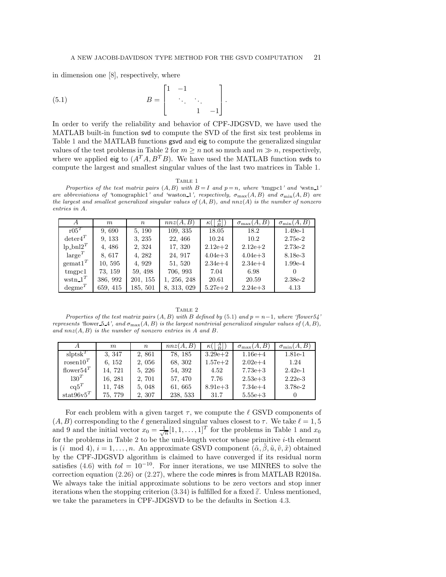in dimension one [\[8\]](#page-24-3), respectively, where

(5.1) 
$$
B = \begin{bmatrix} 1 & -1 & & \\ & \ddots & \ddots & \\ & & 1 & -1 \end{bmatrix}.
$$

In order to verify the reliability and behavior of CPF-JDGSVD, we have used the MATLAB built-in function svd to compute the SVD of the first six test problems in Table [1](#page-20-0) and the MATLAB functions gsvd and eig to compute the generalized singular values of the test problems in Table [2](#page-20-1) for  $m \geq n$  not so much and  $m \geq n$ , respectively, where we applied eig to  $(A^T A, B^T B)$ . We have used the MATLAB function svds to compute the largest and smallest singular values of the last two matrices in Table [1.](#page-20-0)

<span id="page-20-2"></span>TABLE 1

<span id="page-20-0"></span>*Properties of the test matrix pairs*  $(A, B)$  *with*  $B = I$  *and*  $p = n$ *, where 'tmgpc1' and 'wstn*.1' *are abbreviations of 'tomographic1' and 'waston\_1', respectively,*  $\sigma_{\text{max}}(A, B)$  *and*  $\sigma_{\text{min}}(A, B)$  *are the largest and smallest generalized singular values of* (A, B)*, and* nnz(A) *is the number of nonzero entries in* A*.*

| A                     | m        | $\boldsymbol{n}$ | nnz(A, B)   | $\frac{A}{B}$<br>$\kappa$ ( | $\sigma_{\max}(A,B)$ | $\sigma_{\min}(A,B)$ |
|-----------------------|----------|------------------|-------------|-----------------------------|----------------------|----------------------|
| $r05^T$               | 9,690    | 5, 190           | 109, 335    | 18.05                       | 18.2                 | $1.49e-1$            |
| $\mathrm{deter4}^T$   | 9, 133   | 3, 235           | 22, 466     | 10.24                       | 10.2                 | 2.75e-2              |
| $lp\_bnl2^T$          | 4, 486   | 2, 324           | 17, 320     | $2.12e + 2$                 | $2.12e + 2$          | $2.73e-2$            |
| $large^T$             | 8, 617   | 4, 282           | 24, 917     | $4.04e + 3$                 | $4.04e + 3$          | 8.18e-3              |
| $\mathrm{gemat}1^T$   | 10, 595  | 4, 929           | 51, 520     | $2.34e+4$                   | $2.34e+4$            | $1.99e-4$            |
| tmppc1                | 73, 159  | 59, 498          | 706, 993    | 7.04                        | 6.98                 |                      |
| wstn $1^T$            | 386, 992 | 201, 155         | 1, 256, 248 | 20.61                       | 20.59                | $2.38e-2$            |
| $\mathrm{degree}^{T}$ | 659, 415 | 185, 501         | 8, 313, 029 | $5.27e + 2$                 | $2.24e + 3$          | 4.13                 |

TABLE 2

<span id="page-20-1"></span>*Properties of the test matrix pairs* (A, B) *with* B *defined by* [\(5.1\)](#page-20-2) *and* p = n−1*, where 'flower54' represents '*flower 5.4', and  $\sigma_{\text{max}}(A, B)$  *is the largest nontrivial generalized singular values of*  $(A, B)$ *, and* nnz(A, B) *is the number of nonzero entries in* A *and* B*.*

|                      | $m_{\scriptscriptstyle L}$ | $\boldsymbol{n}$ | nnz(A, B) | $\kappa(\vert\frac{A}{B}\vert)$ | $\sigma_{\max}(A,B)$ | $\sigma_{\min}(A,B)$ |
|----------------------|----------------------------|------------------|-----------|---------------------------------|----------------------|----------------------|
| $\text{slpts}^{T}$   | 3, 347                     | 2,861            | 78, 185   | $3.29e + 2$                     | $1.16e + 4$          | $1.81e-1$            |
| rosen10 <sup>T</sup> | 6, 152                     | 2, 056           | 68, 302   | $1.57e + 2$                     | $2.02e+4$            | 1.24                 |
| flower $54^T$        | 14, 721                    | 5, 226           | 54, 392   | 4.52                            | $7.73e + 3$          | $2.42e-1$            |
| $130^T$              | 16, 281                    | 2, 701           | 57, 470   | 7.76                            | $2.53e + 3$          | $2.22e-3$            |
| $cq5^T$              | 11, 748                    | 5, 048           | 61, 665   | $8.91e + 3$                     | $7.34e + 4$          | 3.78e-2              |
| $\text{stat96v5}^T$  | 75, 779                    | 2, 307           | 238, 533  | 31.7                            | $5.55e + 3$          |                      |

For each problem with a given target  $\tau$ , we compute the  $\ell$  GSVD components of  $(A, B)$  corresponding to the  $\ell$  generalized singular values closest to  $\tau$ . We take  $\ell = 1, 5$ and 9 and the initial vector  $x_0 = \frac{1}{\sqrt{n}} [1, 1, \ldots, 1]^T$  $x_0 = \frac{1}{\sqrt{n}} [1, 1, \ldots, 1]^T$  $x_0 = \frac{1}{\sqrt{n}} [1, 1, \ldots, 1]^T$  for the problems in Table 1 and  $x_0$ for the problems in Table [2](#page-20-1) to be the unit-length vector whose primitive  $i$ -th element is (i mod 4),  $i = 1, \ldots, n$ . An approximate GSVD component  $(\tilde{\alpha}, \tilde{\beta}, \tilde{u}, \tilde{v}, \tilde{x})$  obtained by the CPF-JDGSVD algorithm is claimed to have converged if its residual norm satisfies [\(4.6\)](#page-16-1) with  $tol = 10^{-10}$ . For inner iterations, we use MINRES to solve the correction equation  $(2.26)$  or  $(2.27)$ , where the code minres is from MATLAB R2018a. We always take the initial approximate solutions to be zero vectors and stop inner iterations when the stopping criterion [\(3.34\)](#page-15-2) is fulfilled for a fixed  $\tilde{\epsilon}$ . Unless mentioned, we take the parameters in CPF-JDGSVD to be the defaults in Section [4.3.](#page-18-0)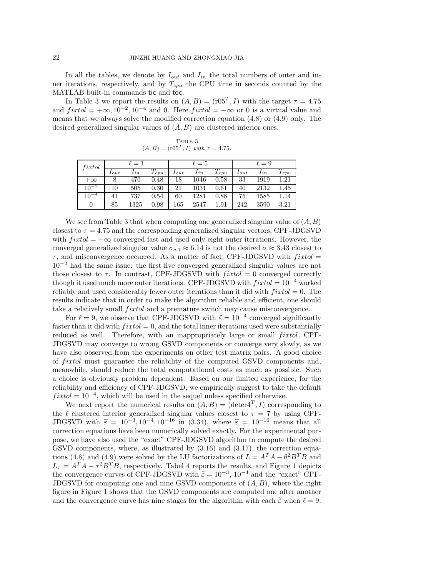In all the tables, we denote by  $I_{out}$  and  $I_{in}$  the total numbers of outer and inner iterations, respectively, and by  $T_{cpu}$  the CPU time in seconds counted by the MATLAB built-in commands tic and toc.

In Table [3](#page-21-0) we report the results on  $(A, B) = (\text{r05}^T, I)$  with the target  $\tau = 4.75$ and  $fixed = +\infty, 10^{-2}, 10^{-4}$  and 0. Here  $fixed = +\infty$  or 0 is a virtual value and means that we always solve the modified correction equation [\(4.8\)](#page-17-1) or [\(4.9\)](#page-17-0) only. The desired generalized singular values of  $(A, B)$  are clustered interior ones.

<span id="page-21-0"></span>

| TABLE 3                                    |  |  |
|--------------------------------------------|--|--|
| $(A, B) = (r05^T, I)$ with $\tau = 4.75$ . |  |  |

| $\it{fixtol}$ | $\ell=1$  |          |            | $\ell=5$  |          |           | $\ell=9$  |          |           |
|---------------|-----------|----------|------------|-----------|----------|-----------|-----------|----------|-----------|
|               | $I_{out}$ | $_{1in}$ | $T_{cpu}$  | $I_{out}$ | $_{1in}$ | $T_{cpu}$ | $I_{out}$ | $_{1in}$ | $T_{cpu}$ |
| $+\infty$     |           | 470      | 0.48       | 18        | 1046     | 0.58      | 33        | 1919     | $1.21\,$  |
| $10^{-2}$     | 10        | 505      | $\rm 0.30$ | 21        | 1031     | 0.61      | 40        | 2132     | $1.45\,$  |
| $10^{-4}$     | 41        | 737      | 0.54       | 60        | 1281     | 0.88      | 75        | 1585     | 1.14      |
| 0             | 85        | 1325     | $_{0.98}$  | 165       | 2547     | $1.91\,$  | 242       | 3590     | 3.21      |

We see from Table [3](#page-21-0) that when computing one generalized singular value of  $(A, B)$ closest to  $\tau = 4.75$  and the corresponding generalized singular vectors, CPF-JDGSVD with  $fixed = +\infty$  converged fast and used only eight outer iterations. However, the converged generalized singular value  $\sigma_{c,1} \approx 6.14$  is not the desired  $\sigma \approx 3.43$  closest to  $\tau$ , and misconvergence occurred. As a matter of fact, CPF-JDGSVD with  $fixed =$ 10−<sup>2</sup> had the same issue: the first five converged generalized singular values are not those closest to  $\tau$ . In contrast, CPF-JDGSVD with  $fixed = 0$  converged correctly though it used much more outer iterations. CPF-JDGSVD with  $fixed = 10^{-4}$  worked reliably and used considerably fewer outer iterations than it did with  $fixed = 0$ . The results indicate that in order to make the algorithm reliable and efficient, one should take a relatively small  $fixed$  and a premature switch may cause misconvergence.

For  $\ell = 9$ , we observe that CPF-JDGSVD with  $\tilde{\varepsilon} = 10^{-4}$  converged significantly faster than it did with  $fixed = 0$ , and the total inner iterations used were substantially reduced as well. Therefore, with an inappropriately large or small  $fixtol$ , CPF-JDGSVD may converge to wrong GSVD components or converge very slowly, as we have also observed from the experiments on other test matrix pairs. A good choice of *fixtol* must guarantee the reliability of the computed GSVD components and, meanwhile, should reduce the total computational costs as much as possible. Such a choice is obviously problem dependent. Based on our limited experience, for the reliability and efficiency of CPF-JDGSVD, we empirically suggest to take the default  $fixed = 10^{-4}$ , which will be used in the sequel unless specified otherwise.

We next report the numerical results on  $(A, B) = (\text{deter} 4^T, I)$  corresponding to the  $\ell$  clustered interior generalized singular values closest to  $\tau = 7$  by using CPF-JDGSVD with  $\tilde{\varepsilon} = 10^{-3}$ ,  $10^{-4}$ ,  $10^{-16}$  in [\(3.34\)](#page-15-2), where  $\tilde{\varepsilon} = 10^{-16}$  means that all correction equations have been numerically solved exactly. For the experimental purpose, we have also used the "exact" CPF-JDGSVD algorithm to compute the desired GSVD components, where, as illustrated by  $(3.16)$  and  $(3.17)$ , the correction equa-tions [\(4.8\)](#page-17-1) and [\(4.9\)](#page-17-0) were solved by the LU factorizations of  $L = A^T A - \theta^2 B^T B$  and  $L_{\tau} = A^{T} A - \tau^{2} B^{T} B$ , respectively. Tabel [4](#page-22-0) reports the results, and Figure [1](#page-22-1) depicts the convergence curves of CPF-JDGSVD with  $\tilde{\epsilon} = 10^{-3}$ ,  $10^{-4}$  and the "exact" CPF-<br>IDCSVD for converting and rating CSVD convergents of  $(4, R)$  and one the right JDGSVD for computing one and nine GSVD components of  $(A, B)$ , where the right figure in Figure [1](#page-22-1) shows that the GSVD components are computed one after another and the convergence curve has nine stages for the algorithm with each  $\tilde{\varepsilon}$  when  $\ell = 9$ .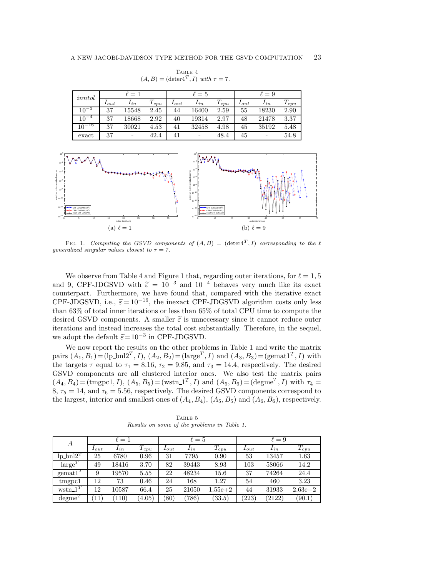| inntol     | $\ell=1$  |          |                      | $\ell=5$  |          |               | $\ell=9$  |                          |                    |
|------------|-----------|----------|----------------------|-----------|----------|---------------|-----------|--------------------------|--------------------|
|            | $I_{out}$ | $I_{in}$ | $\mu$ <sub>cpu</sub> | $I_{out}$ | $I_{in}$ | $1_{\,c\,vu}$ | $I_{out}$ | $I_{in}$                 | $\mathbf{I}_{cpu}$ |
| $10^{-3}$  | 37        | 15548    | 2.45                 | 44        | 16400    | 2.59          | 55        | 18230                    | 2.90               |
| $10^{-4}$  | 37        | 18668    | 2.92                 | 40        | 19314    | 2.97          | 48        | 21478                    | 3.37               |
| $10^{-16}$ | 37        | 30021    | 4.53                 | 41        | 32458    | 4.98          | 45        | 35192                    | 5.48               |
| exact      | 37        | -        | 42.4                 | 41        | -        | 48.4          | 45        | $\overline{\phantom{0}}$ | 54.8               |

<span id="page-22-0"></span>TABLE  $\sqrt{4}$  $(A, B) = (\text{deter}4^T, I)$  *with*  $\tau = 7$ .



<span id="page-22-1"></span>FIG. 1. *Computing the GSVD components of*  $(A, B) = (\text{deter} \, 1^T, I)$  *corresponding to the*  $\ell$ *generalized singular values closest to*  $\tau = 7$ *.* 

We observe from Table [4](#page-22-0) and Figure [1](#page-22-1) that, regarding outer iterations, for  $\ell = 1, 5$ and 9, CPF-JDGSVD with  $\tilde{\varepsilon} = 10^{-3}$  and  $10^{-4}$  behaves very much like its exact counterpart. Furthermore, we have found that, compared with the iterative exact CPF-JDGSVD, i.e.,  $\tilde{\varepsilon} = 10^{-16}$ , the inexact CPF-JDGSVD algorithm costs only less than 63% of total inner iterations or less than 65% of total CPU time to compute the desired GSVD components. A smaller  $\tilde{\varepsilon}$  is unnecessary since it cannot reduce outer iterations and instead increases the total cost substantially. Therefore, in the sequel, we adopt the default  $\widetilde{\varepsilon}$ = 10<sup>-3</sup> in CPF-JDGSVD.

We now report the results on the other problems in Table [1](#page-20-0) and write the matrix pairs  $(A_1, B_1) = (\text{lp\_bnl2}^T, I), (A_2, B_2) = (\text{large}^T, I)$  and  $(A_3, B_3) = (\text{gemat1}^T, I)$  with the targets  $\tau$  equal to  $\tau_1 = 8.16$ ,  $\tau_2 = 9.85$ , and  $\tau_3 = 14.4$ , respectively. The desired GSVD components are all clustered interior ones. We also test the matrix pairs  $(A_4, B_4) = (\text{tmpcl}, I), (A_5, B_5) = (\text{wstn.1}^T, I) \text{ and } (A_6, B_6) = (\text{degme}^T, I) \text{ with } \tau_4 =$  $8, \tau_5 = 14$ , and  $\tau_6 = 5.56$ , respectively. The desired GSVD components correspond to the largest, interior and smallest ones of  $(A_4, B_4)$ ,  $(A_5, B_5)$  and  $(A_6, B_6)$ , respectively.

<span id="page-22-2"></span>TABLE 5 *Results on some of the problems in Table [1.](#page-20-0)*

| $\boldsymbol{A}$    | $\ell=1$     |                 |           | $\ell = 5$ |          |             | $\ell = 9$ |          |                      |  |
|---------------------|--------------|-----------------|-----------|------------|----------|-------------|------------|----------|----------------------|--|
|                     | $I_{out}$    | $I_{in}$        | $T_{cpu}$ | $I_{out}$  | $I_{in}$ | $T_{cpu}$   | $I_{out}$  | $I_{in}$ | $\overline{T_{cpu}}$ |  |
| $\ln \text{bn}12^T$ | 25           | 6780            | 0.96      | 31         | 7795     | 0.90        | 53         | 13457    | 1.63                 |  |
| large <sup>t</sup>  | 49           | 18416           | 3.70      | 82         | 39443    | 8.93        | 103        | 58066    | 14.2                 |  |
| $\mathrm{gemat}1^T$ | 9            | 19570           | 5.55      | 22         | 48234    | 15.6        | 37         | 74264    | 24.4                 |  |
| tmppc1              | 12           | 73              | 0.46      | 24         | 168      | 1.27        | 54         | 460      | 3.23                 |  |
| $wstn_1^T$          | 12           | 10587           | 66.4      | 25         | 21050    | $1.55e + 2$ | 44         | 31933    | $2.63e + 2$          |  |
| degme <sup>T</sup>  | $11^{\circ}$ | 11 <sub>0</sub> | (4.05)    | (80)       | (786)    | (33.5)      | (223)      | (2122)   | (90.1)               |  |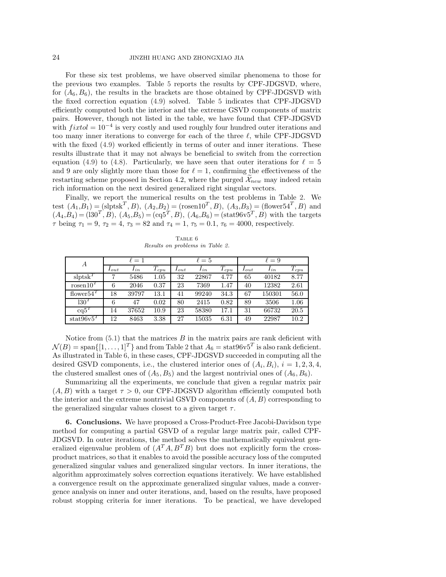For these six test problems, we have observed similar phenomena to those for the previous two examples. Table [5](#page-22-2) reports the results by CPF-JDGSVD, where, for  $(A_6, B_6)$ , the results in the brackets are those obtained by CPF-JDGSVD with the fixed correction equation [\(4.9\)](#page-17-0) solved. Table [5](#page-22-2) indicates that CPF-JDGSVD efficiently computed both the interior and the extreme GSVD components of matrix pairs. However, though not listed in the table, we have found that CFP-JDGSVD with  $fixed = 10^{-4}$  is very costly and used roughly four hundred outer iterations and too many inner iterations to converge for each of the three  $\ell$ , while CPF-JDGSVD with the fixed  $(4.9)$  worked efficiently in terms of outer and inner iterations. These results illustrate that it may not always be beneficial to switch from the correction equation [\(4.9\)](#page-17-0) to [\(4.8\)](#page-17-1). Particularly, we have seen that outer iterations for  $\ell = 5$ and 9 are only slightly more than those for  $\ell = 1$ , confirming the effectiveness of the restarting scheme proposed in Section 4.2, where the purged  $\widetilde{\mathcal{X}}_{new}$  may indeed retain rich information on the next desired generalized right singular vectors.

Finally, we report the numerical results on the test problems in Table [2.](#page-20-1) We test  $(A_1, B_1) = (\text{slptsk}^T, B), (A_2, B_2) = (\text{rosen10}^T, B), (A_3, B_3) = (\text{flower54}^T, B)$  and  $(A_4, B_4) = (130^T, B), (A_5, B_5) = (eq5^T, B), (A_6, B_6) = (stat96v5^T, B)$  with the targets  $\tau$  being  $\tau_1 = 9$ ,  $\tau_2 = 4$ ,  $\tau_3 = 82$  and  $\tau_4 = 1$ ,  $\tau_5 = 0.1$ ,  $\tau_6 = 4000$ , respectively.

<span id="page-23-1"></span>Table 6 *Results on problems in Table [2.](#page-20-1)*

| А                                          |           | $\ell=1$ |                              | $\ell=5$  |          |           | $\ell = 9$ |          |         |
|--------------------------------------------|-----------|----------|------------------------------|-----------|----------|-----------|------------|----------|---------|
|                                            | $I_{out}$ | $I_{in}$ | $\tau$<br>$\mathbf{I}_{cpu}$ | $I_{out}$ | $I_{in}$ | $T_{cpu}$ | $I_{out}$  | $I_{in}$ | $1$ cpu |
| $\mathrm{slptsk}^T$                        |           | 5486     | $1.05\,$                     | 32        | 22867    | 4.77      | 65         | 40182    | 8.77    |
| rosen10 <sup>7</sup>                       | 6         | 2046     | 0.37                         | 23        | 7369     | 1.47      | 40         | 12382    | 2.61    |
| flower <sup>54<math>^{\prime}</math></sup> | 18        | 39797    | 13.1                         | 41        | 99240    | 34.3      | 67         | 150301   | 56.0    |
| 130 <sup>T</sup>                           | 6         | 47       | 0.02                         | 80        | 2415     | 0.82      | 89         | 3506     | 1.06    |
| $\text{cq}5^{\text{T}}$                    | 14        | 37652    | 10.9                         | 23        | 58380    | 17.1      | 31         | 66732    | 20.5    |
| stat96v5 <sup>T</sup>                      | 12        | 8463     | 3.38                         | 27        | 15035    | 6.31      | 49         | 22987    | 10.2    |

Notice from  $(5.1)$  that the matrices B in the matrix pairs are rank deficient with  $\mathcal{N}(B) = \text{span}\{[1,\ldots,1]^T\}$  and from Table [2](#page-20-1) that  $A_6 = \text{stat}96\text{v}5^T$  is also rank deficient. As illustrated in Table [6,](#page-23-1) in these cases, CPF-JDGSVD succeeded in computing all the desired GSVD components, i.e., the clustered interior ones of  $(A_i, B_i)$ ,  $i = 1, 2, 3, 4$ , the clustered smallest ones of  $(A_5, B_5)$  and the largest nontrivial ones of  $(A_6, B_6)$ .

Summarizing all the experiments, we conclude that given a regular matrix pair  $(A, B)$  with a target  $\tau > 0$ , our CPF-JDGSVD algorithm efficiently computed both the interior and the extreme nontrivial GSVD components of  $(A, B)$  corresponding to the generalized singular values closest to a given target  $\tau$ .

<span id="page-23-0"></span>6. Conclusions. We have proposed a Cross-Product-Free Jacobi-Davidson type method for computing a partial GSVD of a regular large matrix pair, called CPF-JDGSVD. In outer iterations, the method solves the mathematically equivalent generalized eigenvalue problem of  $(A^T A, B^T B)$  but does not explicitly form the crossproduct matrices, so that it enables to avoid the possible accuracy loss of the computed generalized singular values and generalized singular vectors. In inner iterations, the algorithm approximately solves correction equations iteratively. We have established a convergence result on the approximate generalized singular values, made a convergence analysis on inner and outer iterations, and, based on the results, have proposed robust stopping criteria for inner iterations. To be practical, we have developed